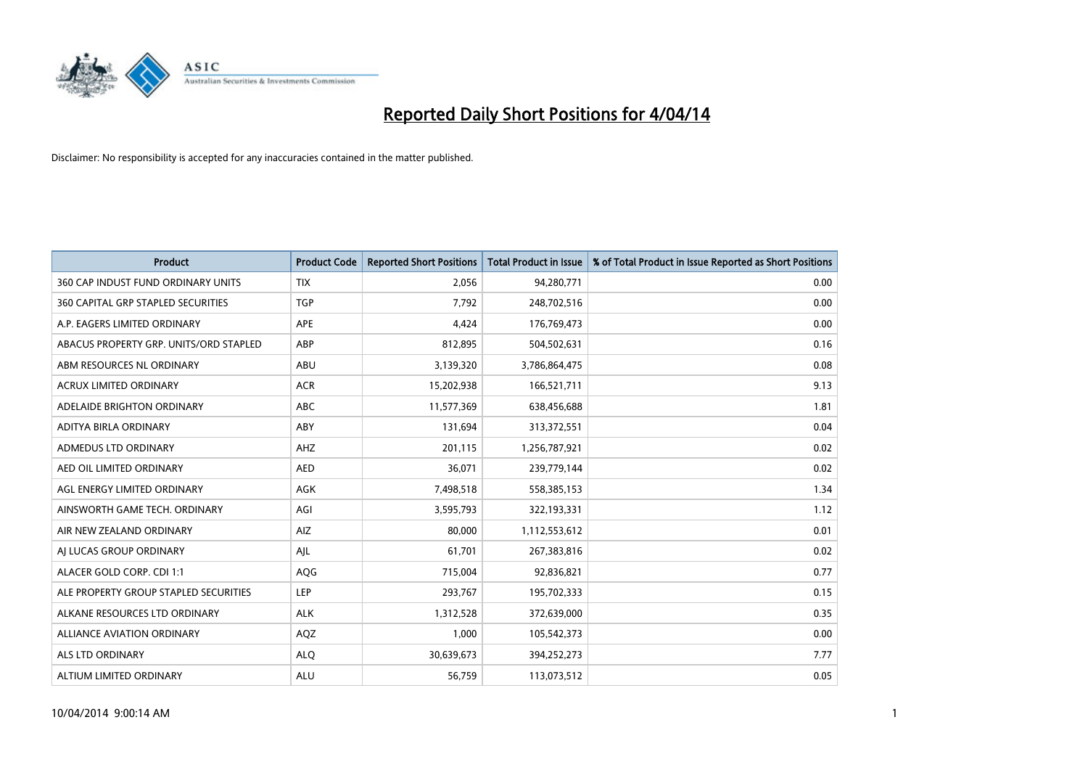

| <b>Product</b>                         | <b>Product Code</b> | <b>Reported Short Positions</b> | <b>Total Product in Issue</b> | % of Total Product in Issue Reported as Short Positions |
|----------------------------------------|---------------------|---------------------------------|-------------------------------|---------------------------------------------------------|
| 360 CAP INDUST FUND ORDINARY UNITS     | <b>TIX</b>          | 2,056                           | 94,280,771                    | 0.00                                                    |
| 360 CAPITAL GRP STAPLED SECURITIES     | <b>TGP</b>          | 7,792                           | 248,702,516                   | 0.00                                                    |
| A.P. EAGERS LIMITED ORDINARY           | APE                 | 4,424                           | 176,769,473                   | 0.00                                                    |
| ABACUS PROPERTY GRP. UNITS/ORD STAPLED | ABP                 | 812,895                         | 504,502,631                   | 0.16                                                    |
| ABM RESOURCES NL ORDINARY              | ABU                 | 3,139,320                       | 3,786,864,475                 | 0.08                                                    |
| <b>ACRUX LIMITED ORDINARY</b>          | <b>ACR</b>          | 15,202,938                      | 166,521,711                   | 9.13                                                    |
| ADELAIDE BRIGHTON ORDINARY             | <b>ABC</b>          | 11,577,369                      | 638,456,688                   | 1.81                                                    |
| ADITYA BIRLA ORDINARY                  | ABY                 | 131,694                         | 313,372,551                   | 0.04                                                    |
| ADMEDUS LTD ORDINARY                   | AHZ                 | 201,115                         | 1,256,787,921                 | 0.02                                                    |
| AED OIL LIMITED ORDINARY               | <b>AED</b>          | 36,071                          | 239,779,144                   | 0.02                                                    |
| AGL ENERGY LIMITED ORDINARY            | AGK                 | 7,498,518                       | 558,385,153                   | 1.34                                                    |
| AINSWORTH GAME TECH. ORDINARY          | AGI                 | 3,595,793                       | 322,193,331                   | 1.12                                                    |
| AIR NEW ZEALAND ORDINARY               | AIZ                 | 80,000                          | 1,112,553,612                 | 0.01                                                    |
| AI LUCAS GROUP ORDINARY                | AJL                 | 61,701                          | 267,383,816                   | 0.02                                                    |
| ALACER GOLD CORP. CDI 1:1              | AQG                 | 715,004                         | 92,836,821                    | 0.77                                                    |
| ALE PROPERTY GROUP STAPLED SECURITIES  | LEP                 | 293,767                         | 195,702,333                   | 0.15                                                    |
| ALKANE RESOURCES LTD ORDINARY          | <b>ALK</b>          | 1,312,528                       | 372,639,000                   | 0.35                                                    |
| <b>ALLIANCE AVIATION ORDINARY</b>      | AQZ                 | 1,000                           | 105,542,373                   | 0.00                                                    |
| ALS LTD ORDINARY                       | <b>ALO</b>          | 30,639,673                      | 394,252,273                   | 7.77                                                    |
| ALTIUM LIMITED ORDINARY                | <b>ALU</b>          | 56,759                          | 113,073,512                   | 0.05                                                    |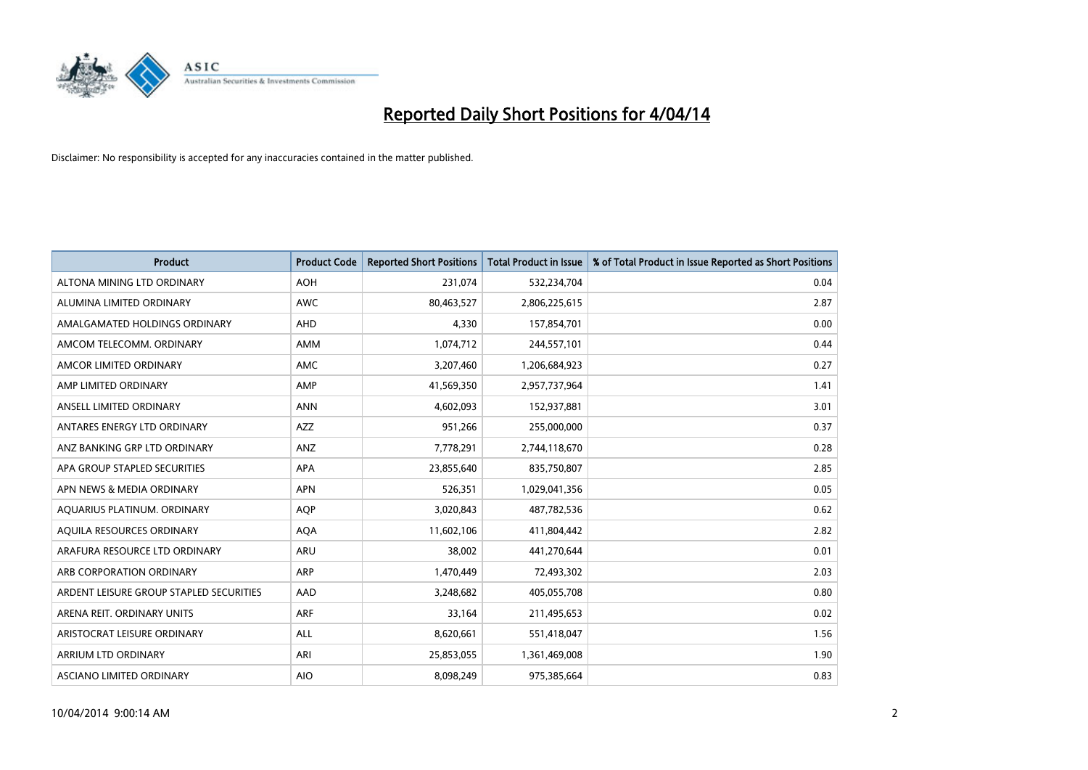

| <b>Product</b>                          | <b>Product Code</b> | <b>Reported Short Positions</b> | <b>Total Product in Issue</b> | % of Total Product in Issue Reported as Short Positions |
|-----------------------------------------|---------------------|---------------------------------|-------------------------------|---------------------------------------------------------|
| ALTONA MINING LTD ORDINARY              | <b>AOH</b>          | 231,074                         | 532,234,704                   | 0.04                                                    |
| ALUMINA LIMITED ORDINARY                | AWC                 | 80,463,527                      | 2,806,225,615                 | 2.87                                                    |
| AMALGAMATED HOLDINGS ORDINARY           | AHD                 | 4,330                           | 157,854,701                   | 0.00                                                    |
| AMCOM TELECOMM. ORDINARY                | AMM                 | 1,074,712                       | 244,557,101                   | 0.44                                                    |
| AMCOR LIMITED ORDINARY                  | AMC                 | 3,207,460                       | 1,206,684,923                 | 0.27                                                    |
| AMP LIMITED ORDINARY                    | AMP                 | 41,569,350                      | 2,957,737,964                 | 1.41                                                    |
| ANSELL LIMITED ORDINARY                 | <b>ANN</b>          | 4,602,093                       | 152,937,881                   | 3.01                                                    |
| ANTARES ENERGY LTD ORDINARY             | AZZ                 | 951,266                         | 255,000,000                   | 0.37                                                    |
| ANZ BANKING GRP LTD ORDINARY            | ANZ                 | 7,778,291                       | 2,744,118,670                 | 0.28                                                    |
| APA GROUP STAPLED SECURITIES            | <b>APA</b>          | 23,855,640                      | 835,750,807                   | 2.85                                                    |
| APN NEWS & MEDIA ORDINARY               | <b>APN</b>          | 526,351                         | 1,029,041,356                 | 0.05                                                    |
| AQUARIUS PLATINUM. ORDINARY             | AQP                 | 3,020,843                       | 487,782,536                   | 0.62                                                    |
| AQUILA RESOURCES ORDINARY               | <b>AQA</b>          | 11,602,106                      | 411,804,442                   | 2.82                                                    |
| ARAFURA RESOURCE LTD ORDINARY           | ARU                 | 38,002                          | 441,270,644                   | 0.01                                                    |
| ARB CORPORATION ORDINARY                | ARP                 | 1,470,449                       | 72,493,302                    | 2.03                                                    |
| ARDENT LEISURE GROUP STAPLED SECURITIES | AAD                 | 3,248,682                       | 405,055,708                   | 0.80                                                    |
| ARENA REIT. ORDINARY UNITS              | <b>ARF</b>          | 33,164                          | 211,495,653                   | 0.02                                                    |
| ARISTOCRAT LEISURE ORDINARY             | <b>ALL</b>          | 8,620,661                       | 551,418,047                   | 1.56                                                    |
| ARRIUM LTD ORDINARY                     | ARI                 | 25,853,055                      | 1,361,469,008                 | 1.90                                                    |
| ASCIANO LIMITED ORDINARY                | <b>AIO</b>          | 8,098,249                       | 975,385,664                   | 0.83                                                    |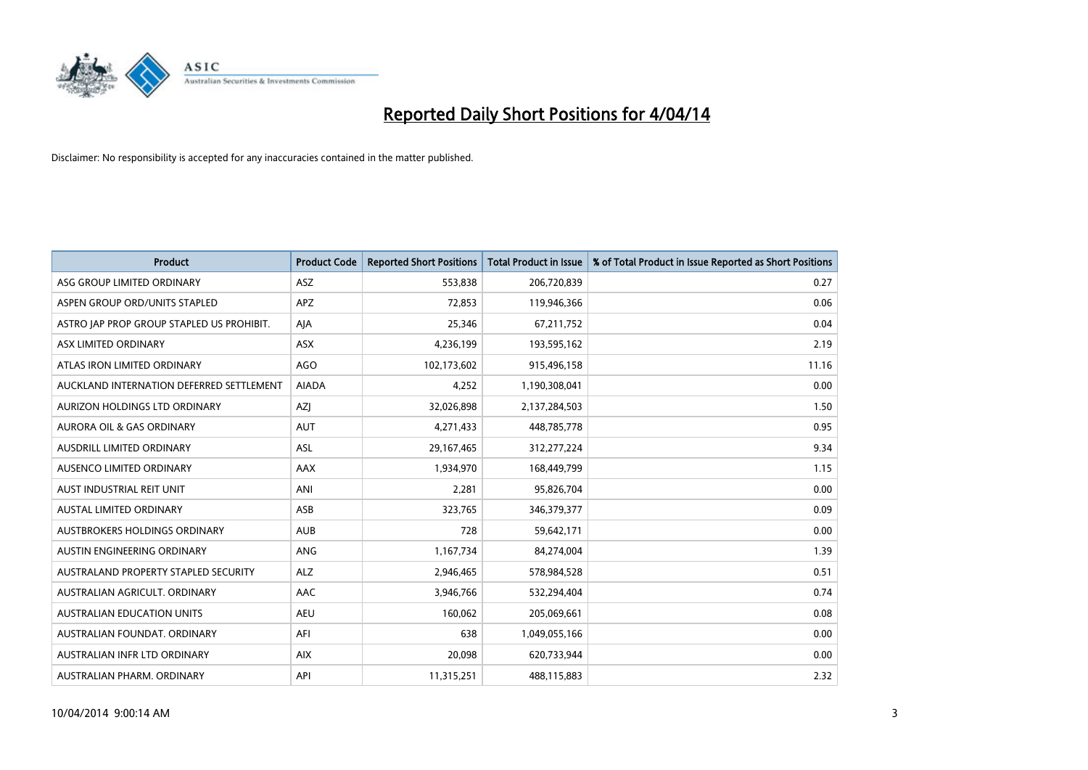

| <b>Product</b>                            | <b>Product Code</b> | <b>Reported Short Positions</b> | <b>Total Product in Issue</b> | % of Total Product in Issue Reported as Short Positions |
|-------------------------------------------|---------------------|---------------------------------|-------------------------------|---------------------------------------------------------|
| ASG GROUP LIMITED ORDINARY                | ASZ                 | 553,838                         | 206,720,839                   | 0.27                                                    |
| ASPEN GROUP ORD/UNITS STAPLED             | <b>APZ</b>          | 72,853                          | 119,946,366                   | 0.06                                                    |
| ASTRO JAP PROP GROUP STAPLED US PROHIBIT. | AJA                 | 25,346                          | 67,211,752                    | 0.04                                                    |
| ASX LIMITED ORDINARY                      | ASX                 | 4,236,199                       | 193,595,162                   | 2.19                                                    |
| ATLAS IRON LIMITED ORDINARY               | <b>AGO</b>          | 102,173,602                     | 915,496,158                   | 11.16                                                   |
| AUCKLAND INTERNATION DEFERRED SETTLEMENT  | <b>AIADA</b>        | 4,252                           | 1,190,308,041                 | 0.00                                                    |
| AURIZON HOLDINGS LTD ORDINARY             | AZJ                 | 32,026,898                      | 2,137,284,503                 | 1.50                                                    |
| AURORA OIL & GAS ORDINARY                 | <b>AUT</b>          | 4,271,433                       | 448,785,778                   | 0.95                                                    |
| AUSDRILL LIMITED ORDINARY                 | <b>ASL</b>          | 29,167,465                      | 312,277,224                   | 9.34                                                    |
| AUSENCO LIMITED ORDINARY                  | <b>AAX</b>          | 1,934,970                       | 168,449,799                   | 1.15                                                    |
| AUST INDUSTRIAL REIT UNIT                 | ANI                 | 2,281                           | 95,826,704                    | 0.00                                                    |
| <b>AUSTAL LIMITED ORDINARY</b>            | ASB                 | 323,765                         | 346, 379, 377                 | 0.09                                                    |
| <b>AUSTBROKERS HOLDINGS ORDINARY</b>      | <b>AUB</b>          | 728                             | 59,642,171                    | 0.00                                                    |
| AUSTIN ENGINEERING ORDINARY               | <b>ANG</b>          | 1,167,734                       | 84,274,004                    | 1.39                                                    |
| AUSTRALAND PROPERTY STAPLED SECURITY      | <b>ALZ</b>          | 2,946,465                       | 578,984,528                   | 0.51                                                    |
| AUSTRALIAN AGRICULT. ORDINARY             | AAC                 | 3,946,766                       | 532,294,404                   | 0.74                                                    |
| <b>AUSTRALIAN EDUCATION UNITS</b>         | <b>AEU</b>          | 160,062                         | 205,069,661                   | 0.08                                                    |
| AUSTRALIAN FOUNDAT, ORDINARY              | AFI                 | 638                             | 1,049,055,166                 | 0.00                                                    |
| AUSTRALIAN INFR LTD ORDINARY              | <b>AIX</b>          | 20,098                          | 620,733,944                   | 0.00                                                    |
| AUSTRALIAN PHARM, ORDINARY                | API                 | 11,315,251                      | 488,115,883                   | 2.32                                                    |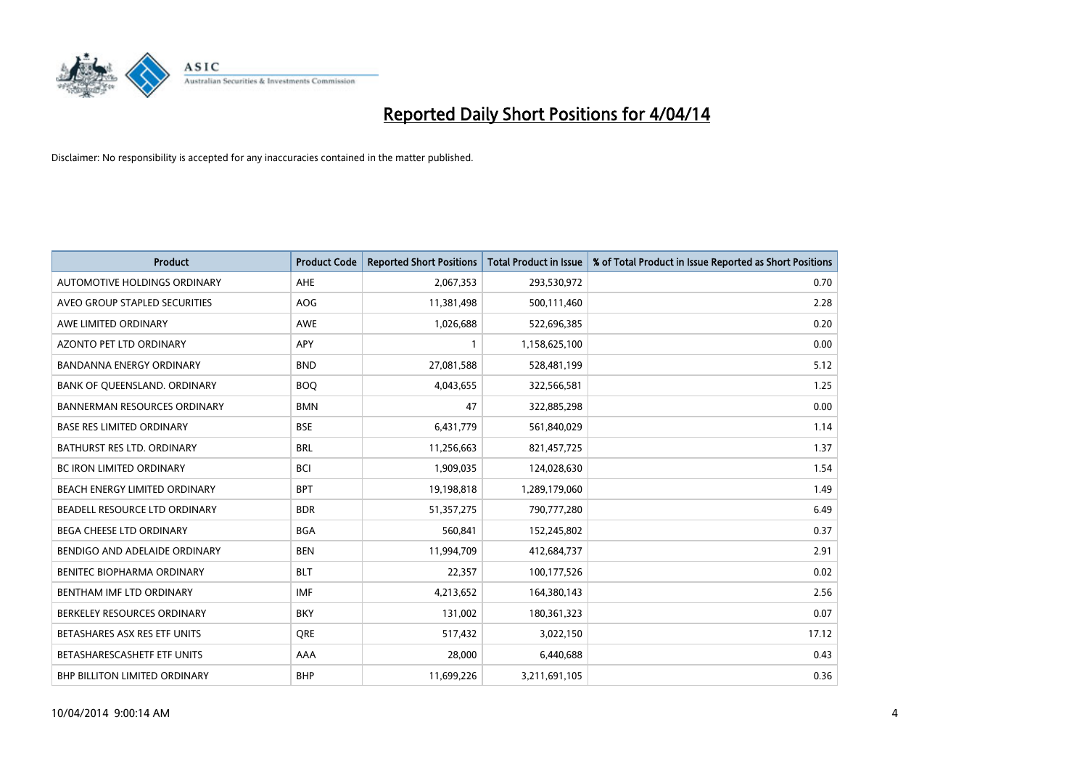

| <b>Product</b>                       | <b>Product Code</b> | <b>Reported Short Positions</b> | <b>Total Product in Issue</b> | % of Total Product in Issue Reported as Short Positions |
|--------------------------------------|---------------------|---------------------------------|-------------------------------|---------------------------------------------------------|
| AUTOMOTIVE HOLDINGS ORDINARY         | <b>AHE</b>          | 2,067,353                       | 293,530,972                   | 0.70                                                    |
| AVEO GROUP STAPLED SECURITIES        | <b>AOG</b>          | 11,381,498                      | 500,111,460                   | 2.28                                                    |
| AWE LIMITED ORDINARY                 | <b>AWE</b>          | 1,026,688                       | 522,696,385                   | 0.20                                                    |
| <b>AZONTO PET LTD ORDINARY</b>       | APY                 | 1                               | 1,158,625,100                 | 0.00                                                    |
| <b>BANDANNA ENERGY ORDINARY</b>      | <b>BND</b>          | 27,081,588                      | 528,481,199                   | 5.12                                                    |
| BANK OF QUEENSLAND. ORDINARY         | <b>BOO</b>          | 4,043,655                       | 322,566,581                   | 1.25                                                    |
| <b>BANNERMAN RESOURCES ORDINARY</b>  | <b>BMN</b>          | 47                              | 322,885,298                   | 0.00                                                    |
| <b>BASE RES LIMITED ORDINARY</b>     | <b>BSE</b>          | 6,431,779                       | 561,840,029                   | 1.14                                                    |
| <b>BATHURST RES LTD. ORDINARY</b>    | <b>BRL</b>          | 11,256,663                      | 821,457,725                   | 1.37                                                    |
| <b>BC IRON LIMITED ORDINARY</b>      | <b>BCI</b>          | 1,909,035                       | 124,028,630                   | 1.54                                                    |
| BEACH ENERGY LIMITED ORDINARY        | <b>BPT</b>          | 19,198,818                      | 1,289,179,060                 | 1.49                                                    |
| BEADELL RESOURCE LTD ORDINARY        | <b>BDR</b>          | 51,357,275                      | 790,777,280                   | 6.49                                                    |
| <b>BEGA CHEESE LTD ORDINARY</b>      | <b>BGA</b>          | 560,841                         | 152,245,802                   | 0.37                                                    |
| BENDIGO AND ADELAIDE ORDINARY        | <b>BEN</b>          | 11,994,709                      | 412,684,737                   | 2.91                                                    |
| BENITEC BIOPHARMA ORDINARY           | <b>BLT</b>          | 22,357                          | 100,177,526                   | 0.02                                                    |
| BENTHAM IMF LTD ORDINARY             | <b>IMF</b>          | 4,213,652                       | 164,380,143                   | 2.56                                                    |
| BERKELEY RESOURCES ORDINARY          | <b>BKY</b>          | 131,002                         | 180,361,323                   | 0.07                                                    |
| BETASHARES ASX RES ETF UNITS         | <b>ORE</b>          | 517,432                         | 3,022,150                     | 17.12                                                   |
| BETASHARESCASHETF ETF UNITS          | AAA                 | 28,000                          | 6,440,688                     | 0.43                                                    |
| <b>BHP BILLITON LIMITED ORDINARY</b> | <b>BHP</b>          | 11,699,226                      | 3,211,691,105                 | 0.36                                                    |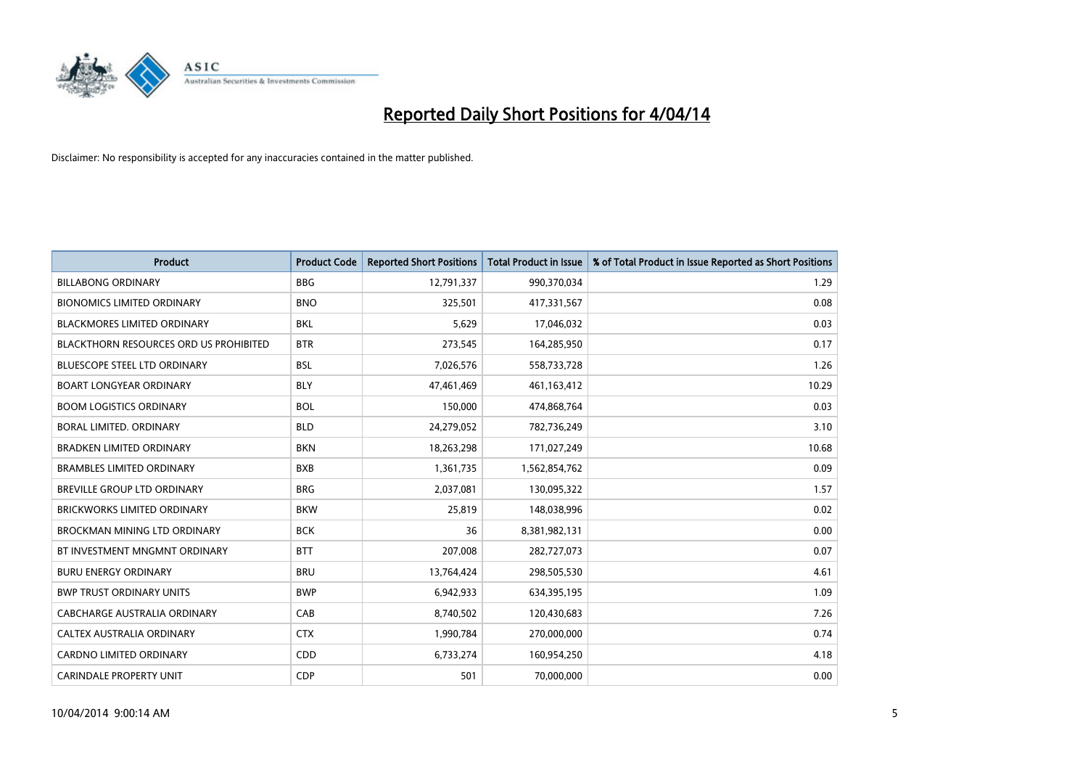

| <b>Product</b>                                | <b>Product Code</b> | <b>Reported Short Positions</b> | <b>Total Product in Issue</b> | % of Total Product in Issue Reported as Short Positions |
|-----------------------------------------------|---------------------|---------------------------------|-------------------------------|---------------------------------------------------------|
| <b>BILLABONG ORDINARY</b>                     | <b>BBG</b>          | 12,791,337                      | 990,370,034                   | 1.29                                                    |
| <b>BIONOMICS LIMITED ORDINARY</b>             | <b>BNO</b>          | 325,501                         | 417,331,567                   | 0.08                                                    |
| BLACKMORES LIMITED ORDINARY                   | <b>BKL</b>          | 5,629                           | 17,046,032                    | 0.03                                                    |
| <b>BLACKTHORN RESOURCES ORD US PROHIBITED</b> | <b>BTR</b>          | 273,545                         | 164,285,950                   | 0.17                                                    |
| <b>BLUESCOPE STEEL LTD ORDINARY</b>           | <b>BSL</b>          | 7,026,576                       | 558,733,728                   | 1.26                                                    |
| <b>BOART LONGYEAR ORDINARY</b>                | <b>BLY</b>          | 47,461,469                      | 461,163,412                   | 10.29                                                   |
| <b>BOOM LOGISTICS ORDINARY</b>                | <b>BOL</b>          | 150,000                         | 474,868,764                   | 0.03                                                    |
| BORAL LIMITED, ORDINARY                       | <b>BLD</b>          | 24,279,052                      | 782,736,249                   | 3.10                                                    |
| <b>BRADKEN LIMITED ORDINARY</b>               | <b>BKN</b>          | 18,263,298                      | 171,027,249                   | 10.68                                                   |
| <b>BRAMBLES LIMITED ORDINARY</b>              | <b>BXB</b>          | 1,361,735                       | 1,562,854,762                 | 0.09                                                    |
| BREVILLE GROUP LTD ORDINARY                   | <b>BRG</b>          | 2,037,081                       | 130,095,322                   | 1.57                                                    |
| BRICKWORKS LIMITED ORDINARY                   | <b>BKW</b>          | 25,819                          | 148,038,996                   | 0.02                                                    |
| <b>BROCKMAN MINING LTD ORDINARY</b>           | <b>BCK</b>          | 36                              | 8,381,982,131                 | 0.00                                                    |
| BT INVESTMENT MNGMNT ORDINARY                 | <b>BTT</b>          | 207,008                         | 282,727,073                   | 0.07                                                    |
| <b>BURU ENERGY ORDINARY</b>                   | <b>BRU</b>          | 13,764,424                      | 298,505,530                   | 4.61                                                    |
| <b>BWP TRUST ORDINARY UNITS</b>               | <b>BWP</b>          | 6,942,933                       | 634,395,195                   | 1.09                                                    |
| CABCHARGE AUSTRALIA ORDINARY                  | CAB                 | 8,740,502                       | 120,430,683                   | 7.26                                                    |
| CALTEX AUSTRALIA ORDINARY                     | <b>CTX</b>          | 1,990,784                       | 270,000,000                   | 0.74                                                    |
| <b>CARDNO LIMITED ORDINARY</b>                | CDD                 | 6,733,274                       | 160,954,250                   | 4.18                                                    |
| <b>CARINDALE PROPERTY UNIT</b>                | <b>CDP</b>          | 501                             | 70,000,000                    | 0.00                                                    |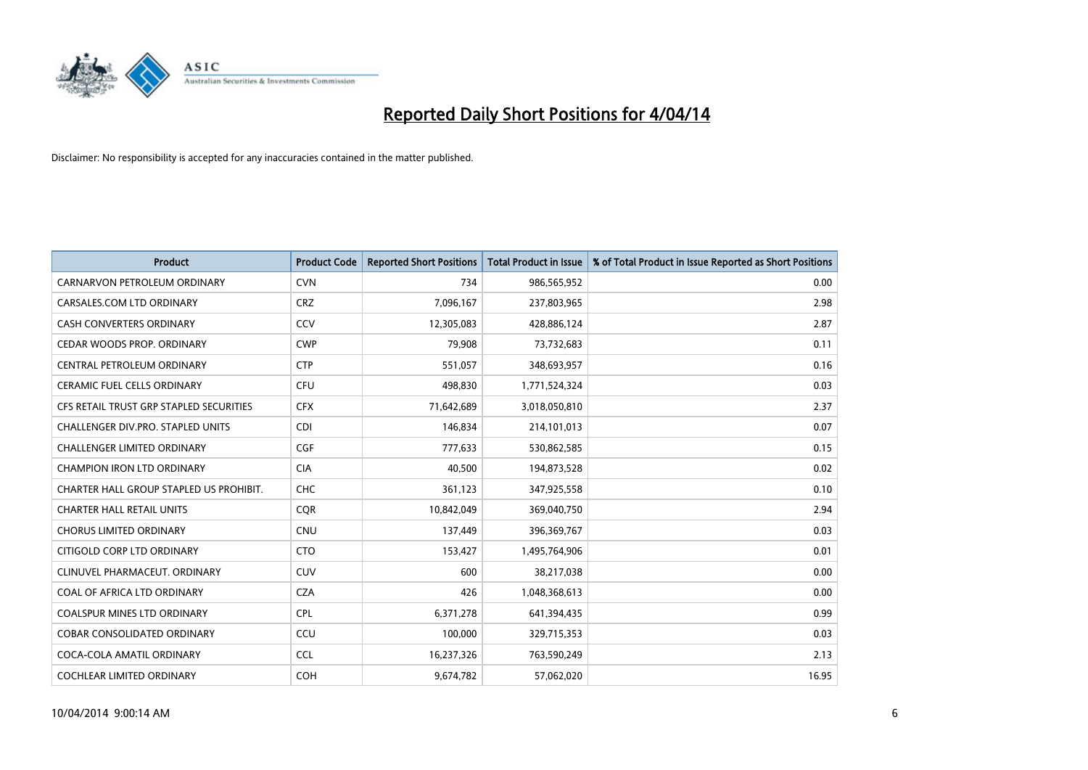

| <b>Product</b>                          | <b>Product Code</b> | <b>Reported Short Positions</b> | <b>Total Product in Issue</b> | % of Total Product in Issue Reported as Short Positions |
|-----------------------------------------|---------------------|---------------------------------|-------------------------------|---------------------------------------------------------|
| CARNARVON PETROLEUM ORDINARY            | <b>CVN</b>          | 734                             | 986,565,952                   | 0.00                                                    |
| CARSALES.COM LTD ORDINARY               | <b>CRZ</b>          | 7,096,167                       | 237,803,965                   | 2.98                                                    |
| <b>CASH CONVERTERS ORDINARY</b>         | CCV                 | 12,305,083                      | 428,886,124                   | 2.87                                                    |
| CEDAR WOODS PROP. ORDINARY              | <b>CWP</b>          | 79,908                          | 73,732,683                    | 0.11                                                    |
| CENTRAL PETROLEUM ORDINARY              | <b>CTP</b>          | 551,057                         | 348,693,957                   | 0.16                                                    |
| <b>CERAMIC FUEL CELLS ORDINARY</b>      | <b>CFU</b>          | 498,830                         | 1,771,524,324                 | 0.03                                                    |
| CFS RETAIL TRUST GRP STAPLED SECURITIES | <b>CFX</b>          | 71,642,689                      | 3,018,050,810                 | 2.37                                                    |
| CHALLENGER DIV.PRO. STAPLED UNITS       | <b>CDI</b>          | 146,834                         | 214,101,013                   | 0.07                                                    |
| <b>CHALLENGER LIMITED ORDINARY</b>      | <b>CGF</b>          | 777,633                         | 530,862,585                   | 0.15                                                    |
| <b>CHAMPION IRON LTD ORDINARY</b>       | <b>CIA</b>          | 40,500                          | 194,873,528                   | 0.02                                                    |
| CHARTER HALL GROUP STAPLED US PROHIBIT. | <b>CHC</b>          | 361,123                         | 347,925,558                   | 0.10                                                    |
| <b>CHARTER HALL RETAIL UNITS</b>        | <b>CQR</b>          | 10,842,049                      | 369,040,750                   | 2.94                                                    |
| <b>CHORUS LIMITED ORDINARY</b>          | <b>CNU</b>          | 137,449                         | 396,369,767                   | 0.03                                                    |
| CITIGOLD CORP LTD ORDINARY              | <b>CTO</b>          | 153,427                         | 1,495,764,906                 | 0.01                                                    |
| CLINUVEL PHARMACEUT, ORDINARY           | <b>CUV</b>          | 600                             | 38,217,038                    | 0.00                                                    |
| COAL OF AFRICA LTD ORDINARY             | <b>CZA</b>          | 426                             | 1,048,368,613                 | 0.00                                                    |
| COALSPUR MINES LTD ORDINARY             | <b>CPL</b>          | 6,371,278                       | 641,394,435                   | 0.99                                                    |
| COBAR CONSOLIDATED ORDINARY             | CCU                 | 100,000                         | 329,715,353                   | 0.03                                                    |
| COCA-COLA AMATIL ORDINARY               | <b>CCL</b>          | 16,237,326                      | 763,590,249                   | 2.13                                                    |
| COCHLEAR LIMITED ORDINARY               | <b>COH</b>          | 9,674,782                       | 57,062,020                    | 16.95                                                   |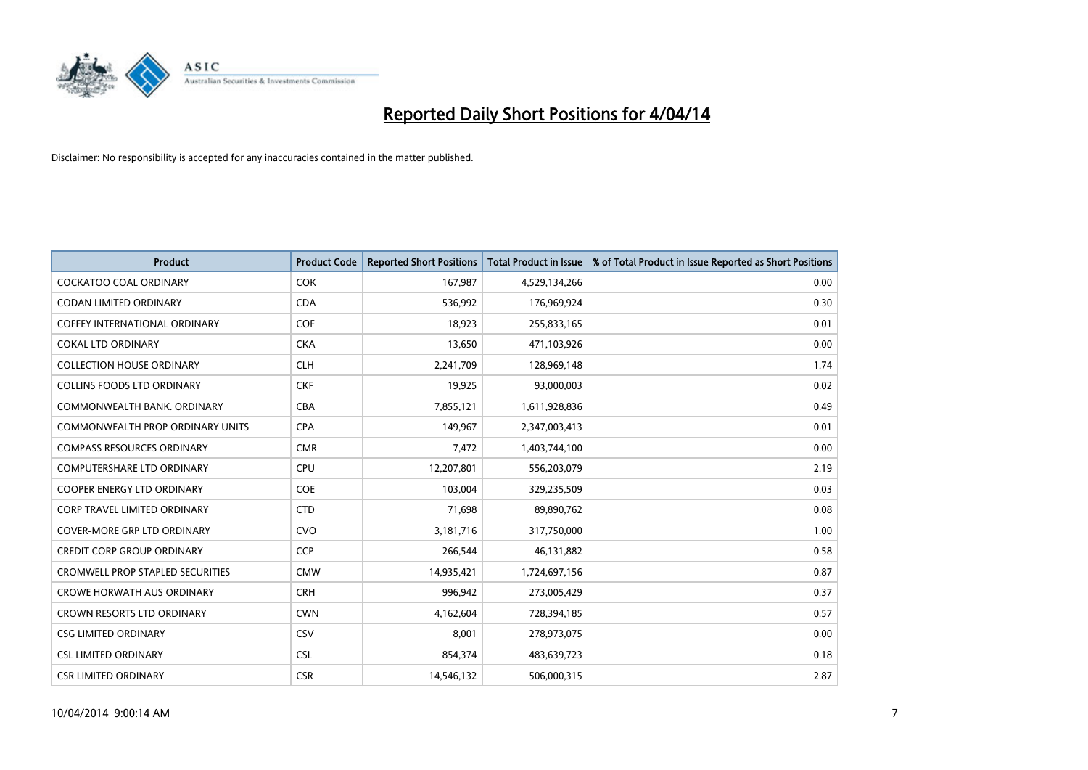

| <b>Product</b>                          | <b>Product Code</b> | <b>Reported Short Positions</b> | <b>Total Product in Issue</b> | % of Total Product in Issue Reported as Short Positions |
|-----------------------------------------|---------------------|---------------------------------|-------------------------------|---------------------------------------------------------|
| <b>COCKATOO COAL ORDINARY</b>           | <b>COK</b>          | 167,987                         | 4,529,134,266                 | 0.00                                                    |
| CODAN LIMITED ORDINARY                  | <b>CDA</b>          | 536,992                         | 176,969,924                   | 0.30                                                    |
| <b>COFFEY INTERNATIONAL ORDINARY</b>    | <b>COF</b>          | 18,923                          | 255,833,165                   | 0.01                                                    |
| <b>COKAL LTD ORDINARY</b>               | <b>CKA</b>          | 13,650                          | 471,103,926                   | 0.00                                                    |
| <b>COLLECTION HOUSE ORDINARY</b>        | <b>CLH</b>          | 2,241,709                       | 128,969,148                   | 1.74                                                    |
| <b>COLLINS FOODS LTD ORDINARY</b>       | <b>CKF</b>          | 19,925                          | 93,000,003                    | 0.02                                                    |
| COMMONWEALTH BANK, ORDINARY             | <b>CBA</b>          | 7,855,121                       | 1,611,928,836                 | 0.49                                                    |
| <b>COMMONWEALTH PROP ORDINARY UNITS</b> | <b>CPA</b>          | 149,967                         | 2,347,003,413                 | 0.01                                                    |
| <b>COMPASS RESOURCES ORDINARY</b>       | <b>CMR</b>          | 7,472                           | 1,403,744,100                 | 0.00                                                    |
| <b>COMPUTERSHARE LTD ORDINARY</b>       | <b>CPU</b>          | 12,207,801                      | 556,203,079                   | 2.19                                                    |
| COOPER ENERGY LTD ORDINARY              | <b>COE</b>          | 103,004                         | 329,235,509                   | 0.03                                                    |
| <b>CORP TRAVEL LIMITED ORDINARY</b>     | <b>CTD</b>          | 71,698                          | 89,890,762                    | 0.08                                                    |
| COVER-MORE GRP LTD ORDINARY             | <b>CVO</b>          | 3,181,716                       | 317,750,000                   | 1.00                                                    |
| <b>CREDIT CORP GROUP ORDINARY</b>       | <b>CCP</b>          | 266,544                         | 46,131,882                    | 0.58                                                    |
| <b>CROMWELL PROP STAPLED SECURITIES</b> | <b>CMW</b>          | 14,935,421                      | 1,724,697,156                 | 0.87                                                    |
| <b>CROWE HORWATH AUS ORDINARY</b>       | <b>CRH</b>          | 996,942                         | 273,005,429                   | 0.37                                                    |
| CROWN RESORTS LTD ORDINARY              | <b>CWN</b>          | 4,162,604                       | 728,394,185                   | 0.57                                                    |
| <b>CSG LIMITED ORDINARY</b>             | CSV                 | 8,001                           | 278,973,075                   | 0.00                                                    |
| <b>CSL LIMITED ORDINARY</b>             | <b>CSL</b>          | 854,374                         | 483,639,723                   | 0.18                                                    |
| <b>CSR LIMITED ORDINARY</b>             | <b>CSR</b>          | 14,546,132                      | 506,000,315                   | 2.87                                                    |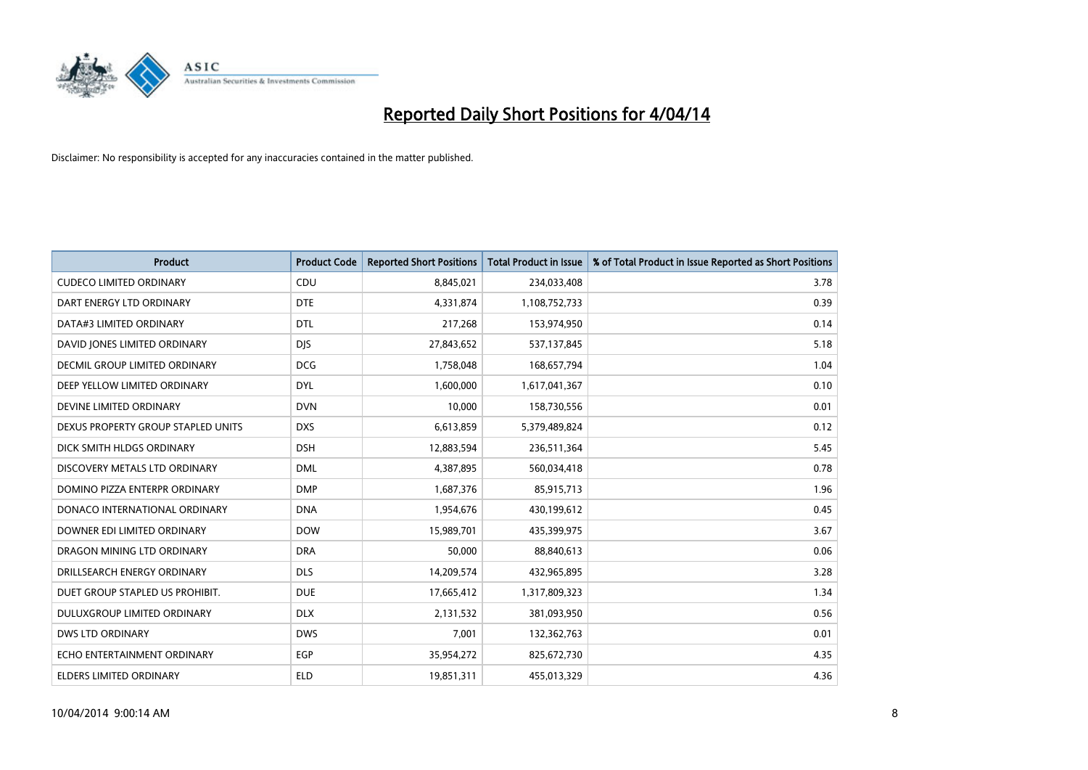

| <b>Product</b>                     | <b>Product Code</b> | <b>Reported Short Positions</b> | <b>Total Product in Issue</b> | % of Total Product in Issue Reported as Short Positions |
|------------------------------------|---------------------|---------------------------------|-------------------------------|---------------------------------------------------------|
| <b>CUDECO LIMITED ORDINARY</b>     | CDU                 | 8,845,021                       | 234,033,408                   | 3.78                                                    |
| DART ENERGY LTD ORDINARY           | <b>DTE</b>          | 4,331,874                       | 1,108,752,733                 | 0.39                                                    |
| DATA#3 LIMITED ORDINARY            | <b>DTL</b>          | 217,268                         | 153,974,950                   | 0.14                                                    |
| DAVID JONES LIMITED ORDINARY       | <b>DJS</b>          | 27,843,652                      | 537,137,845                   | 5.18                                                    |
| DECMIL GROUP LIMITED ORDINARY      | <b>DCG</b>          | 1,758,048                       | 168,657,794                   | 1.04                                                    |
| DEEP YELLOW LIMITED ORDINARY       | <b>DYL</b>          | 1,600,000                       | 1,617,041,367                 | 0.10                                                    |
| DEVINE LIMITED ORDINARY            | <b>DVN</b>          | 10,000                          | 158,730,556                   | 0.01                                                    |
| DEXUS PROPERTY GROUP STAPLED UNITS | <b>DXS</b>          | 6,613,859                       | 5,379,489,824                 | 0.12                                                    |
| DICK SMITH HLDGS ORDINARY          | <b>DSH</b>          | 12,883,594                      | 236,511,364                   | 5.45                                                    |
| DISCOVERY METALS LTD ORDINARY      | <b>DML</b>          | 4,387,895                       | 560,034,418                   | 0.78                                                    |
| DOMINO PIZZA ENTERPR ORDINARY      | <b>DMP</b>          | 1,687,376                       | 85,915,713                    | 1.96                                                    |
| DONACO INTERNATIONAL ORDINARY      | <b>DNA</b>          | 1,954,676                       | 430,199,612                   | 0.45                                                    |
| DOWNER EDI LIMITED ORDINARY        | <b>DOW</b>          | 15,989,701                      | 435,399,975                   | 3.67                                                    |
| DRAGON MINING LTD ORDINARY         | <b>DRA</b>          | 50,000                          | 88,840,613                    | 0.06                                                    |
| DRILLSEARCH ENERGY ORDINARY        | <b>DLS</b>          | 14,209,574                      | 432,965,895                   | 3.28                                                    |
| DUET GROUP STAPLED US PROHIBIT.    | <b>DUE</b>          | 17,665,412                      | 1,317,809,323                 | 1.34                                                    |
| DULUXGROUP LIMITED ORDINARY        | <b>DLX</b>          | 2,131,532                       | 381,093,950                   | 0.56                                                    |
| <b>DWS LTD ORDINARY</b>            | <b>DWS</b>          | 7,001                           | 132,362,763                   | 0.01                                                    |
| ECHO ENTERTAINMENT ORDINARY        | EGP                 | 35,954,272                      | 825,672,730                   | 4.35                                                    |
| ELDERS LIMITED ORDINARY            | <b>ELD</b>          | 19,851,311                      | 455,013,329                   | 4.36                                                    |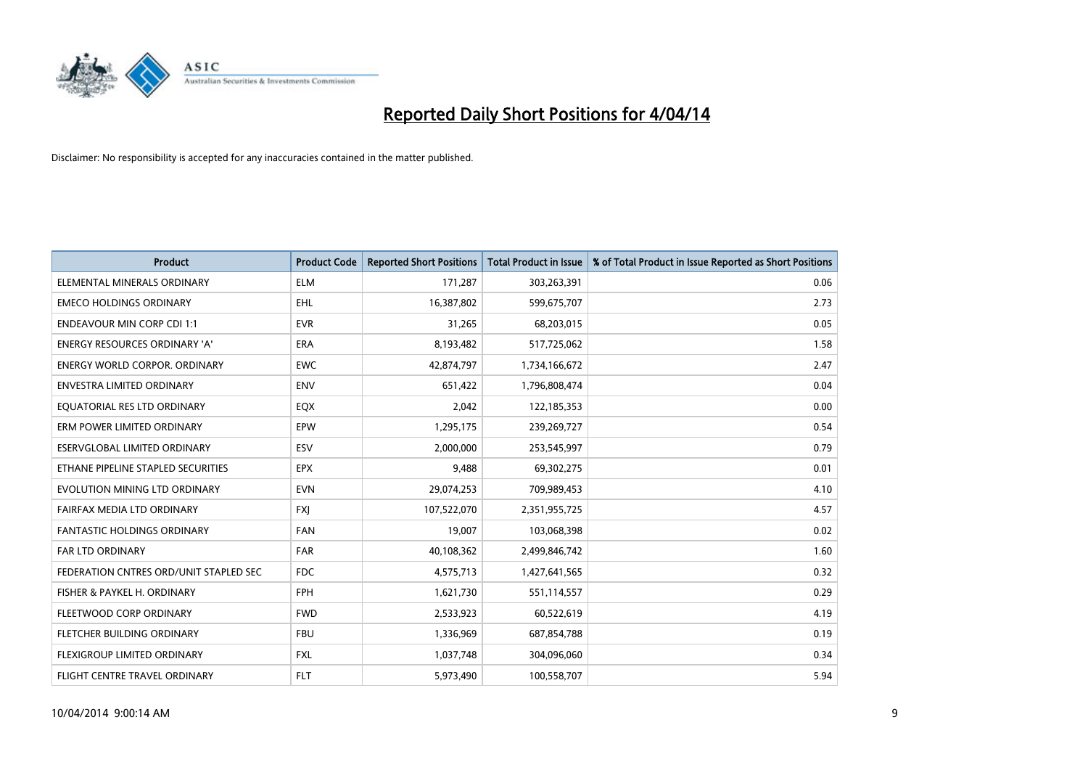

| <b>Product</b>                         | <b>Product Code</b> | <b>Reported Short Positions</b> | <b>Total Product in Issue</b> | % of Total Product in Issue Reported as Short Positions |
|----------------------------------------|---------------------|---------------------------------|-------------------------------|---------------------------------------------------------|
| ELEMENTAL MINERALS ORDINARY            | <b>ELM</b>          | 171,287                         | 303,263,391                   | 0.06                                                    |
| <b>EMECO HOLDINGS ORDINARY</b>         | <b>EHL</b>          | 16,387,802                      | 599,675,707                   | 2.73                                                    |
| <b>ENDEAVOUR MIN CORP CDI 1:1</b>      | <b>EVR</b>          | 31,265                          | 68,203,015                    | 0.05                                                    |
| ENERGY RESOURCES ORDINARY 'A'          | <b>ERA</b>          | 8,193,482                       | 517,725,062                   | 1.58                                                    |
| <b>ENERGY WORLD CORPOR, ORDINARY</b>   | <b>EWC</b>          | 42,874,797                      | 1,734,166,672                 | 2.47                                                    |
| <b>ENVESTRA LIMITED ORDINARY</b>       | <b>ENV</b>          | 651,422                         | 1,796,808,474                 | 0.04                                                    |
| EQUATORIAL RES LTD ORDINARY            | EQX                 | 2,042                           | 122,185,353                   | 0.00                                                    |
| ERM POWER LIMITED ORDINARY             | EPW                 | 1,295,175                       | 239,269,727                   | 0.54                                                    |
| <b>ESERVGLOBAL LIMITED ORDINARY</b>    | ESV                 | 2,000,000                       | 253,545,997                   | 0.79                                                    |
| ETHANE PIPELINE STAPLED SECURITIES     | <b>EPX</b>          | 9,488                           | 69,302,275                    | 0.01                                                    |
| EVOLUTION MINING LTD ORDINARY          | <b>EVN</b>          | 29,074,253                      | 709,989,453                   | 4.10                                                    |
| FAIRFAX MEDIA LTD ORDINARY             | FXJ                 | 107,522,070                     | 2,351,955,725                 | 4.57                                                    |
| FANTASTIC HOLDINGS ORDINARY            | <b>FAN</b>          | 19,007                          | 103,068,398                   | 0.02                                                    |
| <b>FAR LTD ORDINARY</b>                | FAR                 | 40,108,362                      | 2,499,846,742                 | 1.60                                                    |
| FEDERATION CNTRES ORD/UNIT STAPLED SEC | <b>FDC</b>          | 4,575,713                       | 1,427,641,565                 | 0.32                                                    |
| FISHER & PAYKEL H. ORDINARY            | <b>FPH</b>          | 1,621,730                       | 551,114,557                   | 0.29                                                    |
| FLEETWOOD CORP ORDINARY                | <b>FWD</b>          | 2,533,923                       | 60,522,619                    | 4.19                                                    |
| FLETCHER BUILDING ORDINARY             | <b>FBU</b>          | 1,336,969                       | 687,854,788                   | 0.19                                                    |
| FLEXIGROUP LIMITED ORDINARY            | <b>FXL</b>          | 1,037,748                       | 304,096,060                   | 0.34                                                    |
| FLIGHT CENTRE TRAVEL ORDINARY          | <b>FLT</b>          | 5,973,490                       | 100,558,707                   | 5.94                                                    |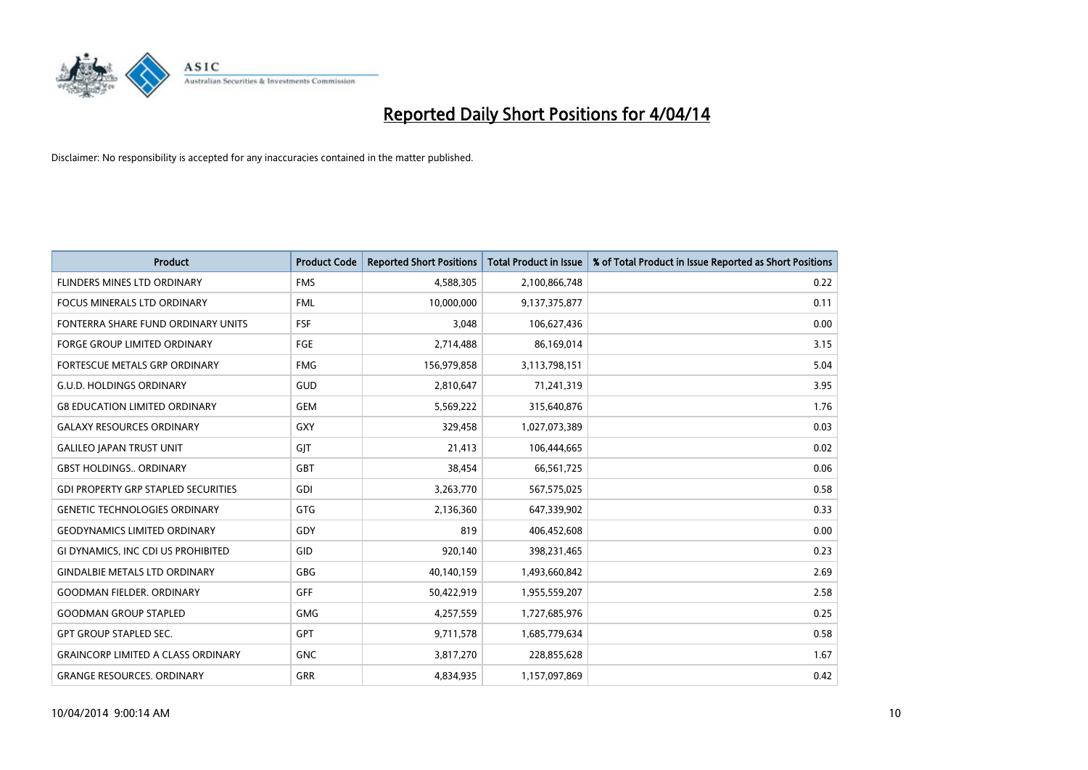

| <b>Product</b>                             | <b>Product Code</b> | <b>Reported Short Positions</b> | <b>Total Product in Issue</b> | % of Total Product in Issue Reported as Short Positions |
|--------------------------------------------|---------------------|---------------------------------|-------------------------------|---------------------------------------------------------|
| FLINDERS MINES LTD ORDINARY                | <b>FMS</b>          | 4,588,305                       | 2,100,866,748                 | 0.22                                                    |
| FOCUS MINERALS LTD ORDINARY                | <b>FML</b>          | 10,000,000                      | 9,137,375,877                 | 0.11                                                    |
| FONTERRA SHARE FUND ORDINARY UNITS         | <b>FSF</b>          | 3,048                           | 106,627,436                   | 0.00                                                    |
| FORGE GROUP LIMITED ORDINARY               | <b>FGE</b>          | 2,714,488                       | 86,169,014                    | 3.15                                                    |
| <b>FORTESCUE METALS GRP ORDINARY</b>       | <b>FMG</b>          | 156,979,858                     | 3,113,798,151                 | 5.04                                                    |
| <b>G.U.D. HOLDINGS ORDINARY</b>            | GUD                 | 2,810,647                       | 71,241,319                    | 3.95                                                    |
| <b>G8 EDUCATION LIMITED ORDINARY</b>       | <b>GEM</b>          | 5,569,222                       | 315,640,876                   | 1.76                                                    |
| <b>GALAXY RESOURCES ORDINARY</b>           | <b>GXY</b>          | 329,458                         | 1,027,073,389                 | 0.03                                                    |
| <b>GALILEO JAPAN TRUST UNIT</b>            | GJT                 | 21,413                          | 106,444,665                   | 0.02                                                    |
| <b>GBST HOLDINGS., ORDINARY</b>            | GBT                 | 38,454                          | 66,561,725                    | 0.06                                                    |
| <b>GDI PROPERTY GRP STAPLED SECURITIES</b> | GDI                 | 3,263,770                       | 567,575,025                   | 0.58                                                    |
| <b>GENETIC TECHNOLOGIES ORDINARY</b>       | <b>GTG</b>          | 2,136,360                       | 647,339,902                   | 0.33                                                    |
| <b>GEODYNAMICS LIMITED ORDINARY</b>        | GDY                 | 819                             | 406,452,608                   | 0.00                                                    |
| GI DYNAMICS, INC CDI US PROHIBITED         | GID                 | 920,140                         | 398,231,465                   | 0.23                                                    |
| <b>GINDALBIE METALS LTD ORDINARY</b>       | GBG                 | 40,140,159                      | 1,493,660,842                 | 2.69                                                    |
| <b>GOODMAN FIELDER. ORDINARY</b>           | GFF                 | 50,422,919                      | 1,955,559,207                 | 2.58                                                    |
| <b>GOODMAN GROUP STAPLED</b>               | <b>GMG</b>          | 4,257,559                       | 1,727,685,976                 | 0.25                                                    |
| <b>GPT GROUP STAPLED SEC.</b>              | GPT                 | 9,711,578                       | 1,685,779,634                 | 0.58                                                    |
| <b>GRAINCORP LIMITED A CLASS ORDINARY</b>  | <b>GNC</b>          | 3,817,270                       | 228,855,628                   | 1.67                                                    |
| <b>GRANGE RESOURCES. ORDINARY</b>          | GRR                 | 4,834,935                       | 1,157,097,869                 | 0.42                                                    |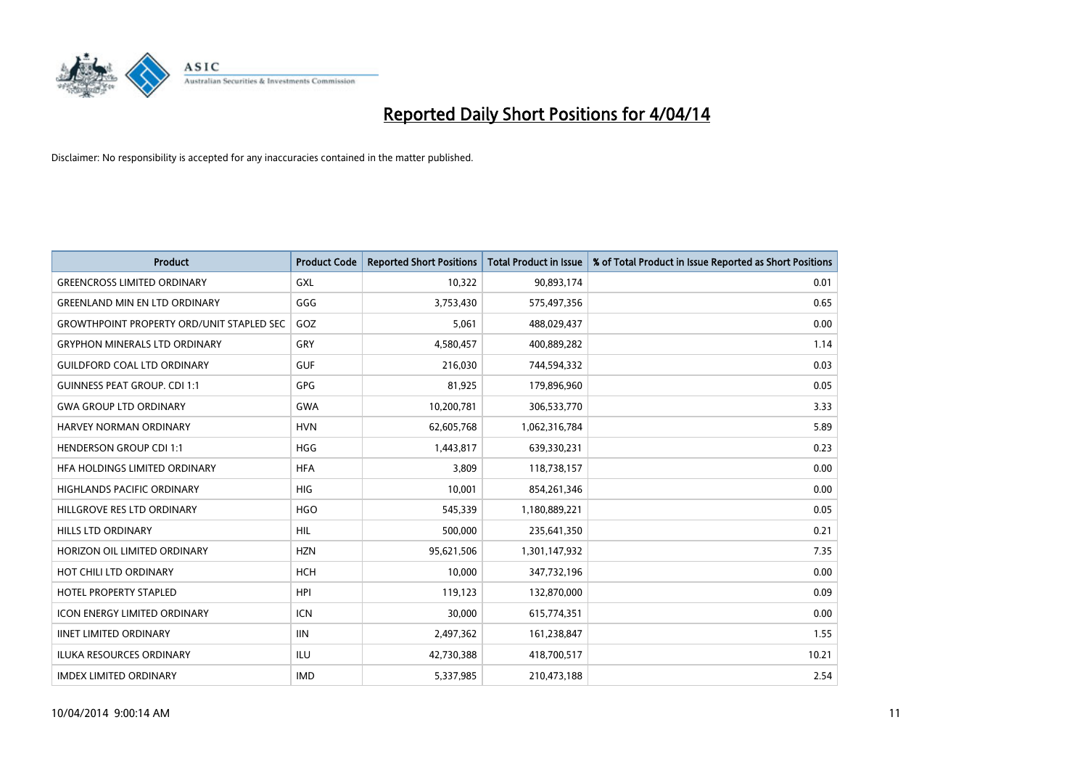

| <b>Product</b>                                   | <b>Product Code</b> | <b>Reported Short Positions</b> | <b>Total Product in Issue</b> | % of Total Product in Issue Reported as Short Positions |
|--------------------------------------------------|---------------------|---------------------------------|-------------------------------|---------------------------------------------------------|
| <b>GREENCROSS LIMITED ORDINARY</b>               | <b>GXL</b>          | 10,322                          | 90,893,174                    | 0.01                                                    |
| <b>GREENLAND MIN EN LTD ORDINARY</b>             | GGG                 | 3,753,430                       | 575,497,356                   | 0.65                                                    |
| <b>GROWTHPOINT PROPERTY ORD/UNIT STAPLED SEC</b> | GOZ                 | 5,061                           | 488,029,437                   | 0.00                                                    |
| <b>GRYPHON MINERALS LTD ORDINARY</b>             | GRY                 | 4,580,457                       | 400,889,282                   | 1.14                                                    |
| <b>GUILDFORD COAL LTD ORDINARY</b>               | <b>GUF</b>          | 216,030                         | 744,594,332                   | 0.03                                                    |
| <b>GUINNESS PEAT GROUP. CDI 1:1</b>              | <b>GPG</b>          | 81,925                          | 179,896,960                   | 0.05                                                    |
| <b>GWA GROUP LTD ORDINARY</b>                    | <b>GWA</b>          | 10,200,781                      | 306,533,770                   | 3.33                                                    |
| <b>HARVEY NORMAN ORDINARY</b>                    | <b>HVN</b>          | 62,605,768                      | 1,062,316,784                 | 5.89                                                    |
| <b>HENDERSON GROUP CDI 1:1</b>                   | <b>HGG</b>          | 1,443,817                       | 639,330,231                   | 0.23                                                    |
| HFA HOLDINGS LIMITED ORDINARY                    | <b>HFA</b>          | 3,809                           | 118,738,157                   | 0.00                                                    |
| <b>HIGHLANDS PACIFIC ORDINARY</b>                | <b>HIG</b>          | 10,001                          | 854,261,346                   | 0.00                                                    |
| HILLGROVE RES LTD ORDINARY                       | <b>HGO</b>          | 545,339                         | 1,180,889,221                 | 0.05                                                    |
| <b>HILLS LTD ORDINARY</b>                        | <b>HIL</b>          | 500,000                         | 235,641,350                   | 0.21                                                    |
| HORIZON OIL LIMITED ORDINARY                     | <b>HZN</b>          | 95,621,506                      | 1,301,147,932                 | 7.35                                                    |
| HOT CHILI LTD ORDINARY                           | <b>HCH</b>          | 10,000                          | 347,732,196                   | 0.00                                                    |
| <b>HOTEL PROPERTY STAPLED</b>                    | <b>HPI</b>          | 119,123                         | 132,870,000                   | 0.09                                                    |
| ICON ENERGY LIMITED ORDINARY                     | <b>ICN</b>          | 30,000                          | 615,774,351                   | 0.00                                                    |
| <b>IINET LIMITED ORDINARY</b>                    | <b>IIN</b>          | 2,497,362                       | 161,238,847                   | 1.55                                                    |
| <b>ILUKA RESOURCES ORDINARY</b>                  | ILU                 | 42,730,388                      | 418,700,517                   | 10.21                                                   |
| <b>IMDEX LIMITED ORDINARY</b>                    | <b>IMD</b>          | 5,337,985                       | 210,473,188                   | 2.54                                                    |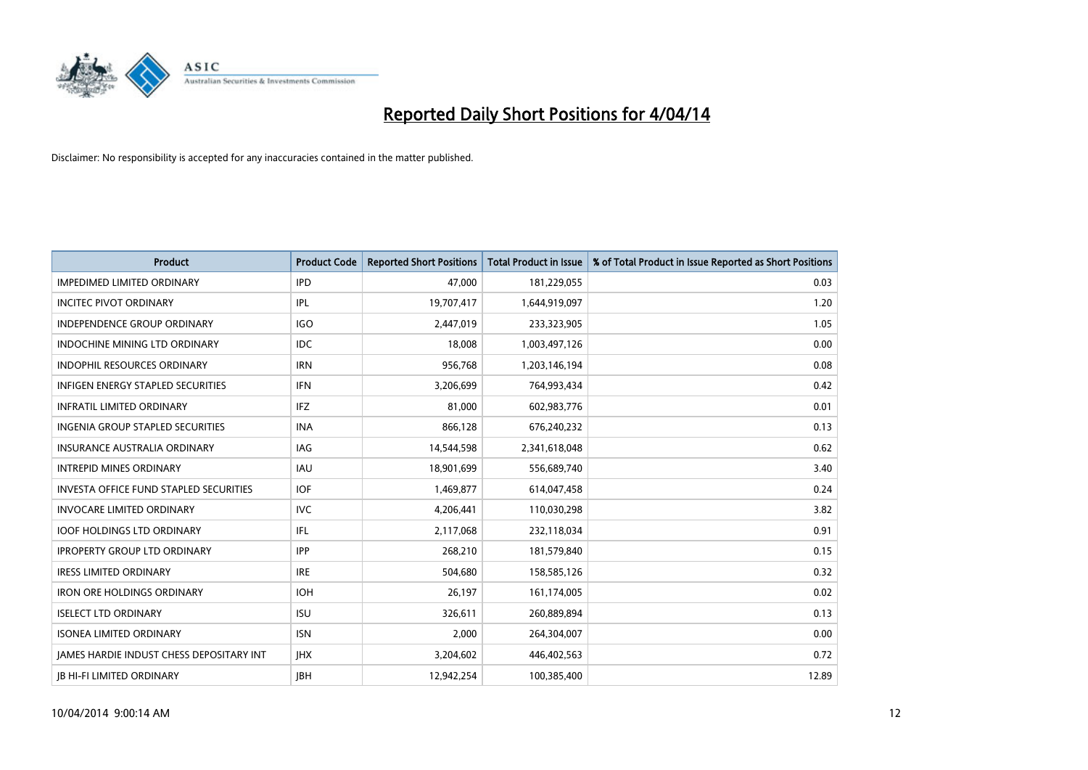

| <b>Product</b>                                  | <b>Product Code</b> | <b>Reported Short Positions</b> | <b>Total Product in Issue</b> | % of Total Product in Issue Reported as Short Positions |
|-------------------------------------------------|---------------------|---------------------------------|-------------------------------|---------------------------------------------------------|
| <b>IMPEDIMED LIMITED ORDINARY</b>               | <b>IPD</b>          | 47,000                          | 181,229,055                   | 0.03                                                    |
| <b>INCITEC PIVOT ORDINARY</b>                   | IPL                 | 19,707,417                      | 1,644,919,097                 | 1.20                                                    |
| <b>INDEPENDENCE GROUP ORDINARY</b>              | <b>IGO</b>          | 2,447,019                       | 233,323,905                   | 1.05                                                    |
| <b>INDOCHINE MINING LTD ORDINARY</b>            | <b>IDC</b>          | 18,008                          | 1,003,497,126                 | 0.00                                                    |
| <b>INDOPHIL RESOURCES ORDINARY</b>              | <b>IRN</b>          | 956,768                         | 1,203,146,194                 | 0.08                                                    |
| <b>INFIGEN ENERGY STAPLED SECURITIES</b>        | <b>IFN</b>          | 3,206,699                       | 764,993,434                   | 0.42                                                    |
| <b>INFRATIL LIMITED ORDINARY</b>                | <b>IFZ</b>          | 81.000                          | 602,983,776                   | 0.01                                                    |
| <b>INGENIA GROUP STAPLED SECURITIES</b>         | <b>INA</b>          | 866,128                         | 676,240,232                   | 0.13                                                    |
| INSURANCE AUSTRALIA ORDINARY                    | IAG                 | 14,544,598                      | 2,341,618,048                 | 0.62                                                    |
| <b>INTREPID MINES ORDINARY</b>                  | <b>IAU</b>          | 18,901,699                      | 556,689,740                   | 3.40                                                    |
| <b>INVESTA OFFICE FUND STAPLED SECURITIES</b>   | <b>IOF</b>          | 1,469,877                       | 614,047,458                   | 0.24                                                    |
| <b>INVOCARE LIMITED ORDINARY</b>                | <b>IVC</b>          | 4,206,441                       | 110,030,298                   | 3.82                                                    |
| <b>IOOF HOLDINGS LTD ORDINARY</b>               | IFL                 | 2,117,068                       | 232,118,034                   | 0.91                                                    |
| <b>IPROPERTY GROUP LTD ORDINARY</b>             | <b>IPP</b>          | 268,210                         | 181,579,840                   | 0.15                                                    |
| <b>IRESS LIMITED ORDINARY</b>                   | <b>IRE</b>          | 504,680                         | 158,585,126                   | 0.32                                                    |
| <b>IRON ORE HOLDINGS ORDINARY</b>               | <b>IOH</b>          | 26,197                          | 161,174,005                   | 0.02                                                    |
| <b>ISELECT LTD ORDINARY</b>                     | <b>ISU</b>          | 326,611                         | 260,889,894                   | 0.13                                                    |
| <b>ISONEA LIMITED ORDINARY</b>                  | <b>ISN</b>          | 2,000                           | 264,304,007                   | 0.00                                                    |
| <b>IAMES HARDIE INDUST CHESS DEPOSITARY INT</b> | <b>IHX</b>          | 3,204,602                       | 446,402,563                   | 0.72                                                    |
| <b>IB HI-FI LIMITED ORDINARY</b>                | <b>JBH</b>          | 12.942.254                      | 100,385,400                   | 12.89                                                   |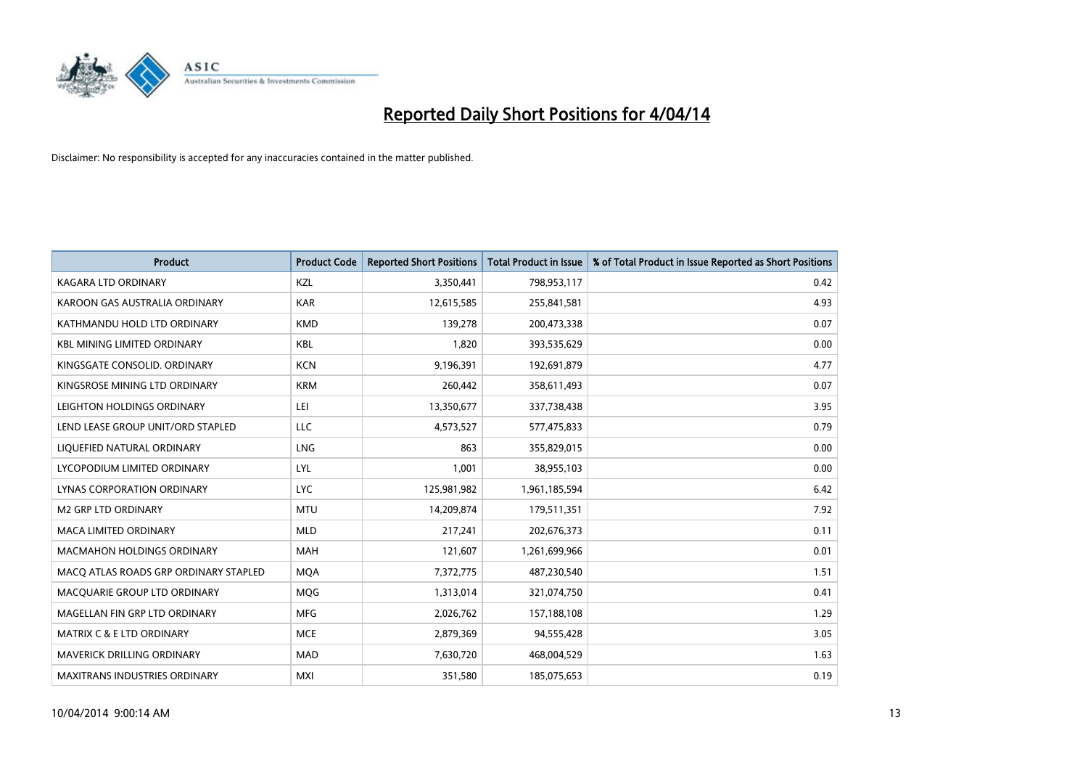

| <b>Product</b>                        | <b>Product Code</b> | <b>Reported Short Positions</b> | <b>Total Product in Issue</b> | % of Total Product in Issue Reported as Short Positions |
|---------------------------------------|---------------------|---------------------------------|-------------------------------|---------------------------------------------------------|
| <b>KAGARA LTD ORDINARY</b>            | <b>KZL</b>          | 3,350,441                       | 798,953,117                   | 0.42                                                    |
| KAROON GAS AUSTRALIA ORDINARY         | <b>KAR</b>          | 12,615,585                      | 255,841,581                   | 4.93                                                    |
| KATHMANDU HOLD LTD ORDINARY           | <b>KMD</b>          | 139,278                         | 200,473,338                   | 0.07                                                    |
| KBL MINING LIMITED ORDINARY           | <b>KBL</b>          | 1,820                           | 393,535,629                   | 0.00                                                    |
| KINGSGATE CONSOLID, ORDINARY          | <b>KCN</b>          | 9,196,391                       | 192,691,879                   | 4.77                                                    |
| KINGSROSE MINING LTD ORDINARY         | <b>KRM</b>          | 260,442                         | 358,611,493                   | 0.07                                                    |
| LEIGHTON HOLDINGS ORDINARY            | LEI                 | 13,350,677                      | 337,738,438                   | 3.95                                                    |
| LEND LEASE GROUP UNIT/ORD STAPLED     | LLC                 | 4,573,527                       | 577,475,833                   | 0.79                                                    |
| LIQUEFIED NATURAL ORDINARY            | <b>LNG</b>          | 863                             | 355,829,015                   | 0.00                                                    |
| LYCOPODIUM LIMITED ORDINARY           | LYL                 | 1,001                           | 38,955,103                    | 0.00                                                    |
| LYNAS CORPORATION ORDINARY            | <b>LYC</b>          | 125,981,982                     | 1,961,185,594                 | 6.42                                                    |
| <b>M2 GRP LTD ORDINARY</b>            | <b>MTU</b>          | 14,209,874                      | 179,511,351                   | 7.92                                                    |
| MACA LIMITED ORDINARY                 | <b>MLD</b>          | 217,241                         | 202,676,373                   | 0.11                                                    |
| <b>MACMAHON HOLDINGS ORDINARY</b>     | <b>MAH</b>          | 121,607                         | 1,261,699,966                 | 0.01                                                    |
| MACO ATLAS ROADS GRP ORDINARY STAPLED | <b>MQA</b>          | 7,372,775                       | 487,230,540                   | 1.51                                                    |
| MACQUARIE GROUP LTD ORDINARY          | <b>MOG</b>          | 1,313,014                       | 321,074,750                   | 0.41                                                    |
| MAGELLAN FIN GRP LTD ORDINARY         | <b>MFG</b>          | 2,026,762                       | 157,188,108                   | 1.29                                                    |
| MATRIX C & E LTD ORDINARY             | <b>MCE</b>          | 2,879,369                       | 94,555,428                    | 3.05                                                    |
| <b>MAVERICK DRILLING ORDINARY</b>     | <b>MAD</b>          | 7,630,720                       | 468,004,529                   | 1.63                                                    |
| MAXITRANS INDUSTRIES ORDINARY         | <b>MXI</b>          | 351,580                         | 185,075,653                   | 0.19                                                    |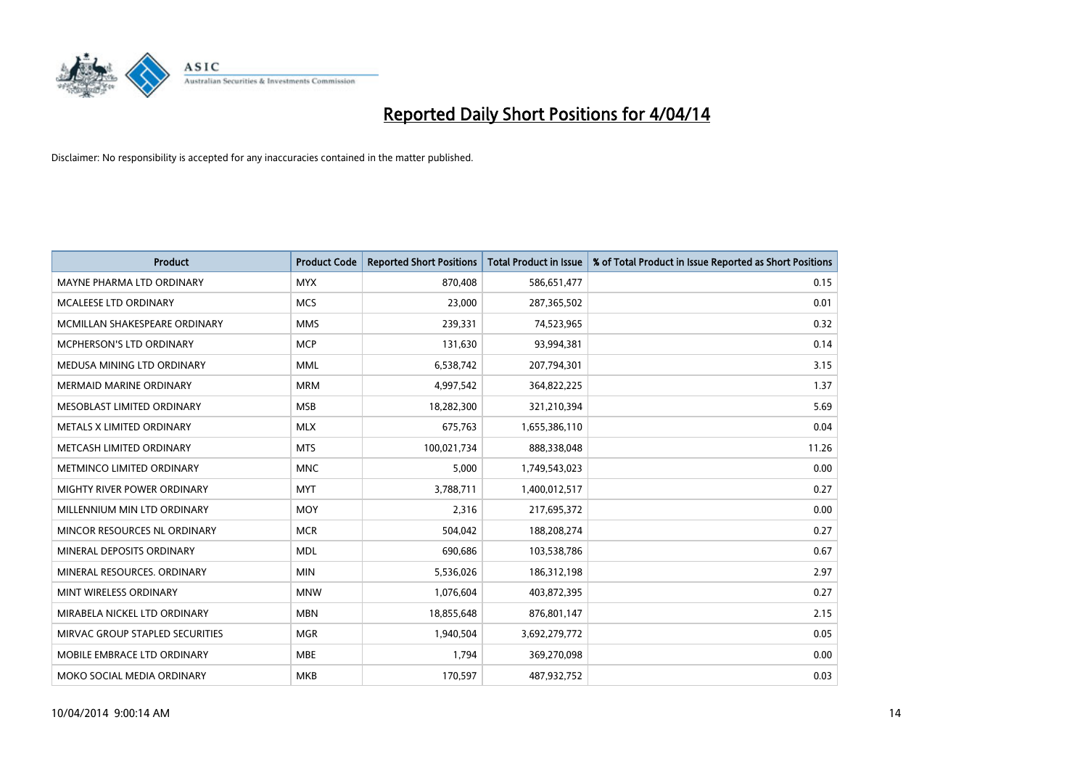

| <b>Product</b>                  | <b>Product Code</b> | <b>Reported Short Positions</b> | <b>Total Product in Issue</b> | % of Total Product in Issue Reported as Short Positions |
|---------------------------------|---------------------|---------------------------------|-------------------------------|---------------------------------------------------------|
| MAYNE PHARMA LTD ORDINARY       | <b>MYX</b>          | 870,408                         | 586,651,477                   | 0.15                                                    |
| MCALEESE LTD ORDINARY           | <b>MCS</b>          | 23,000                          | 287,365,502                   | 0.01                                                    |
| MCMILLAN SHAKESPEARE ORDINARY   | <b>MMS</b>          | 239,331                         | 74,523,965                    | 0.32                                                    |
| MCPHERSON'S LTD ORDINARY        | <b>MCP</b>          | 131,630                         | 93,994,381                    | 0.14                                                    |
| MEDUSA MINING LTD ORDINARY      | <b>MML</b>          | 6,538,742                       | 207,794,301                   | 3.15                                                    |
| <b>MERMAID MARINE ORDINARY</b>  | <b>MRM</b>          | 4,997,542                       | 364,822,225                   | 1.37                                                    |
| MESOBLAST LIMITED ORDINARY      | <b>MSB</b>          | 18,282,300                      | 321,210,394                   | 5.69                                                    |
| METALS X LIMITED ORDINARY       | <b>MLX</b>          | 675,763                         | 1,655,386,110                 | 0.04                                                    |
| METCASH LIMITED ORDINARY        | <b>MTS</b>          | 100,021,734                     | 888,338,048                   | 11.26                                                   |
| METMINCO LIMITED ORDINARY       | <b>MNC</b>          | 5,000                           | 1,749,543,023                 | 0.00                                                    |
| MIGHTY RIVER POWER ORDINARY     | <b>MYT</b>          | 3,788,711                       | 1,400,012,517                 | 0.27                                                    |
| MILLENNIUM MIN LTD ORDINARY     | <b>MOY</b>          | 2,316                           | 217,695,372                   | 0.00                                                    |
| MINCOR RESOURCES NL ORDINARY    | <b>MCR</b>          | 504,042                         | 188,208,274                   | 0.27                                                    |
| MINERAL DEPOSITS ORDINARY       | <b>MDL</b>          | 690,686                         | 103,538,786                   | 0.67                                                    |
| MINERAL RESOURCES, ORDINARY     | <b>MIN</b>          | 5,536,026                       | 186,312,198                   | 2.97                                                    |
| MINT WIRELESS ORDINARY          | <b>MNW</b>          | 1,076,604                       | 403,872,395                   | 0.27                                                    |
| MIRABELA NICKEL LTD ORDINARY    | <b>MBN</b>          | 18,855,648                      | 876,801,147                   | 2.15                                                    |
| MIRVAC GROUP STAPLED SECURITIES | <b>MGR</b>          | 1,940,504                       | 3,692,279,772                 | 0.05                                                    |
| MOBILE EMBRACE LTD ORDINARY     | <b>MBE</b>          | 1,794                           | 369,270,098                   | 0.00                                                    |
| MOKO SOCIAL MEDIA ORDINARY      | <b>MKB</b>          | 170,597                         | 487,932,752                   | 0.03                                                    |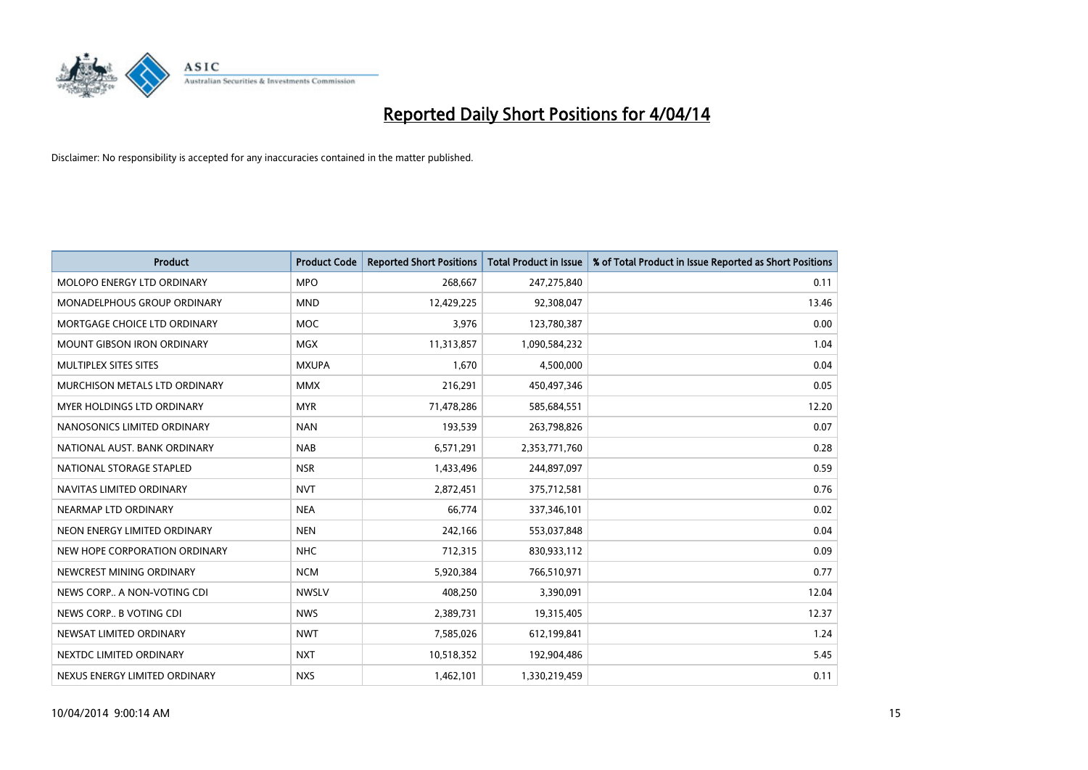

| <b>Product</b>                    | <b>Product Code</b> | <b>Reported Short Positions</b> | <b>Total Product in Issue</b> | % of Total Product in Issue Reported as Short Positions |
|-----------------------------------|---------------------|---------------------------------|-------------------------------|---------------------------------------------------------|
| MOLOPO ENERGY LTD ORDINARY        | <b>MPO</b>          | 268,667                         | 247,275,840                   | 0.11                                                    |
| MONADELPHOUS GROUP ORDINARY       | <b>MND</b>          | 12,429,225                      | 92,308,047                    | 13.46                                                   |
| MORTGAGE CHOICE LTD ORDINARY      | <b>MOC</b>          | 3,976                           | 123,780,387                   | 0.00                                                    |
| <b>MOUNT GIBSON IRON ORDINARY</b> | <b>MGX</b>          | 11,313,857                      | 1,090,584,232                 | 1.04                                                    |
| MULTIPLEX SITES SITES             | <b>MXUPA</b>        | 1,670                           | 4,500,000                     | 0.04                                                    |
| MURCHISON METALS LTD ORDINARY     | <b>MMX</b>          | 216,291                         | 450,497,346                   | 0.05                                                    |
| MYER HOLDINGS LTD ORDINARY        | <b>MYR</b>          | 71,478,286                      | 585,684,551                   | 12.20                                                   |
| NANOSONICS LIMITED ORDINARY       | <b>NAN</b>          | 193,539                         | 263,798,826                   | 0.07                                                    |
| NATIONAL AUST, BANK ORDINARY      | <b>NAB</b>          | 6,571,291                       | 2,353,771,760                 | 0.28                                                    |
| NATIONAL STORAGE STAPLED          | <b>NSR</b>          | 1,433,496                       | 244,897,097                   | 0.59                                                    |
| NAVITAS LIMITED ORDINARY          | <b>NVT</b>          | 2,872,451                       | 375,712,581                   | 0.76                                                    |
| NEARMAP LTD ORDINARY              | <b>NEA</b>          | 66,774                          | 337,346,101                   | 0.02                                                    |
| NEON ENERGY LIMITED ORDINARY      | <b>NEN</b>          | 242,166                         | 553,037,848                   | 0.04                                                    |
| NEW HOPE CORPORATION ORDINARY     | <b>NHC</b>          | 712,315                         | 830,933,112                   | 0.09                                                    |
| NEWCREST MINING ORDINARY          | <b>NCM</b>          | 5,920,384                       | 766,510,971                   | 0.77                                                    |
| NEWS CORP A NON-VOTING CDI        | <b>NWSLV</b>        | 408,250                         | 3,390,091                     | 12.04                                                   |
| NEWS CORP B VOTING CDI            | <b>NWS</b>          | 2,389,731                       | 19,315,405                    | 12.37                                                   |
| NEWSAT LIMITED ORDINARY           | <b>NWT</b>          | 7,585,026                       | 612,199,841                   | 1.24                                                    |
| NEXTDC LIMITED ORDINARY           | <b>NXT</b>          | 10,518,352                      | 192,904,486                   | 5.45                                                    |
| NEXUS ENERGY LIMITED ORDINARY     | <b>NXS</b>          | 1,462,101                       | 1,330,219,459                 | 0.11                                                    |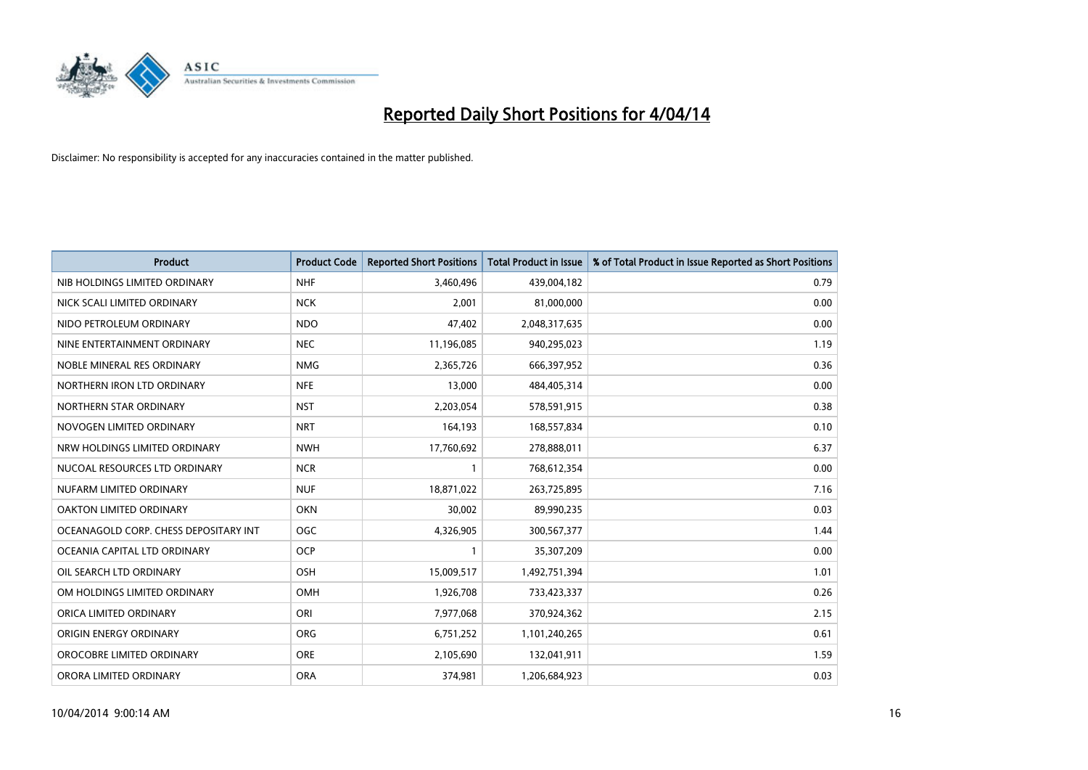

| <b>Product</b>                        | <b>Product Code</b> | <b>Reported Short Positions</b> | <b>Total Product in Issue</b> | % of Total Product in Issue Reported as Short Positions |
|---------------------------------------|---------------------|---------------------------------|-------------------------------|---------------------------------------------------------|
| NIB HOLDINGS LIMITED ORDINARY         | <b>NHF</b>          | 3,460,496                       | 439,004,182                   | 0.79                                                    |
| NICK SCALI LIMITED ORDINARY           | <b>NCK</b>          | 2,001                           | 81,000,000                    | 0.00                                                    |
| NIDO PETROLEUM ORDINARY               | <b>NDO</b>          | 47,402                          | 2,048,317,635                 | 0.00                                                    |
| NINE ENTERTAINMENT ORDINARY           | <b>NEC</b>          | 11,196,085                      | 940,295,023                   | 1.19                                                    |
| NOBLE MINERAL RES ORDINARY            | <b>NMG</b>          | 2,365,726                       | 666,397,952                   | 0.36                                                    |
| NORTHERN IRON LTD ORDINARY            | <b>NFE</b>          | 13,000                          | 484,405,314                   | 0.00                                                    |
| NORTHERN STAR ORDINARY                | <b>NST</b>          | 2,203,054                       | 578,591,915                   | 0.38                                                    |
| NOVOGEN LIMITED ORDINARY              | <b>NRT</b>          | 164,193                         | 168,557,834                   | 0.10                                                    |
| NRW HOLDINGS LIMITED ORDINARY         | <b>NWH</b>          | 17,760,692                      | 278,888,011                   | 6.37                                                    |
| NUCOAL RESOURCES LTD ORDINARY         | <b>NCR</b>          | 1                               | 768,612,354                   | 0.00                                                    |
| NUFARM LIMITED ORDINARY               | <b>NUF</b>          | 18,871,022                      | 263,725,895                   | 7.16                                                    |
| OAKTON LIMITED ORDINARY               | <b>OKN</b>          | 30,002                          | 89,990,235                    | 0.03                                                    |
| OCEANAGOLD CORP. CHESS DEPOSITARY INT | <b>OGC</b>          | 4,326,905                       | 300,567,377                   | 1.44                                                    |
| OCEANIA CAPITAL LTD ORDINARY          | <b>OCP</b>          | $\mathbf{1}$                    | 35,307,209                    | 0.00                                                    |
| OIL SEARCH LTD ORDINARY               | OSH                 | 15,009,517                      | 1,492,751,394                 | 1.01                                                    |
| OM HOLDINGS LIMITED ORDINARY          | OMH                 | 1,926,708                       | 733,423,337                   | 0.26                                                    |
| ORICA LIMITED ORDINARY                | ORI                 | 7,977,068                       | 370,924,362                   | 2.15                                                    |
| ORIGIN ENERGY ORDINARY                | <b>ORG</b>          | 6,751,252                       | 1,101,240,265                 | 0.61                                                    |
| OROCOBRE LIMITED ORDINARY             | <b>ORE</b>          | 2,105,690                       | 132,041,911                   | 1.59                                                    |
| ORORA LIMITED ORDINARY                | <b>ORA</b>          | 374,981                         | 1,206,684,923                 | 0.03                                                    |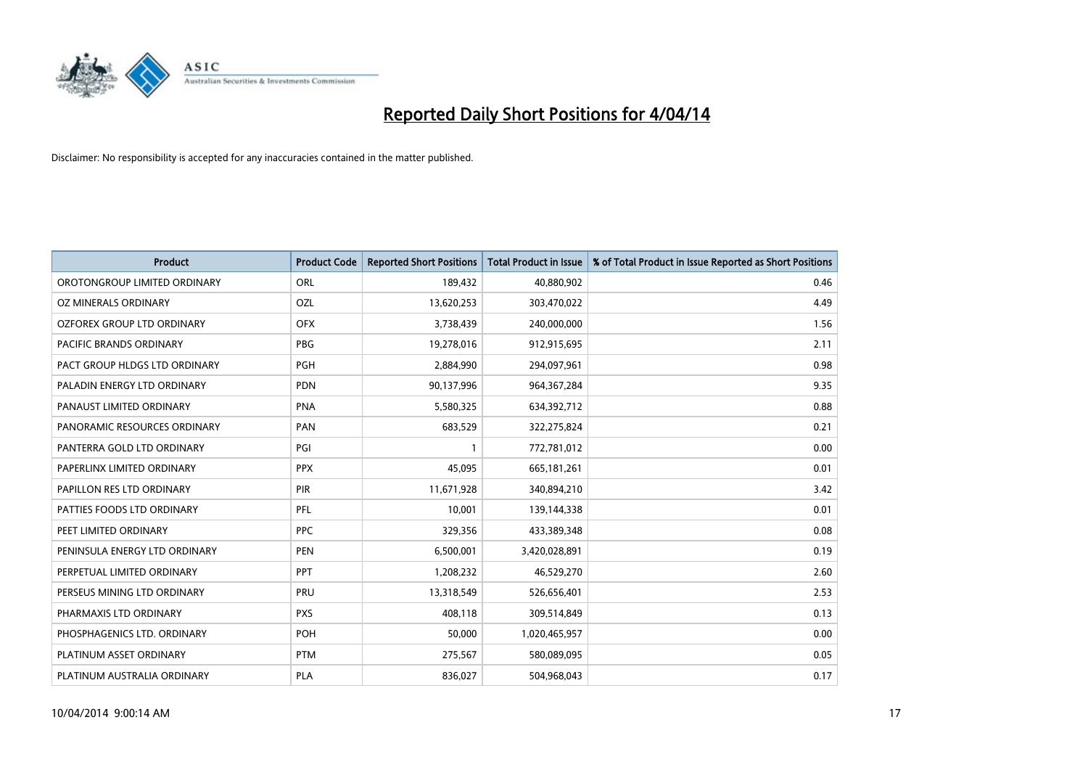

| <b>Product</b>                    | <b>Product Code</b> | <b>Reported Short Positions</b> | <b>Total Product in Issue</b> | % of Total Product in Issue Reported as Short Positions |
|-----------------------------------|---------------------|---------------------------------|-------------------------------|---------------------------------------------------------|
| OROTONGROUP LIMITED ORDINARY      | ORL                 | 189,432                         | 40,880,902                    | 0.46                                                    |
| OZ MINERALS ORDINARY              | OZL                 | 13,620,253                      | 303,470,022                   | 4.49                                                    |
| <b>OZFOREX GROUP LTD ORDINARY</b> | <b>OFX</b>          | 3,738,439                       | 240,000,000                   | 1.56                                                    |
| PACIFIC BRANDS ORDINARY           | <b>PBG</b>          | 19,278,016                      | 912,915,695                   | 2.11                                                    |
| PACT GROUP HLDGS LTD ORDINARY     | PGH                 | 2,884,990                       | 294,097,961                   | 0.98                                                    |
| PALADIN ENERGY LTD ORDINARY       | <b>PDN</b>          | 90,137,996                      | 964, 367, 284                 | 9.35                                                    |
| PANAUST LIMITED ORDINARY          | <b>PNA</b>          | 5,580,325                       | 634,392,712                   | 0.88                                                    |
| PANORAMIC RESOURCES ORDINARY      | PAN                 | 683,529                         | 322,275,824                   | 0.21                                                    |
| PANTERRA GOLD LTD ORDINARY        | PGI                 | $\mathbf{1}$                    | 772,781,012                   | 0.00                                                    |
| PAPERLINX LIMITED ORDINARY        | <b>PPX</b>          | 45,095                          | 665,181,261                   | 0.01                                                    |
| PAPILLON RES LTD ORDINARY         | PIR                 | 11,671,928                      | 340,894,210                   | 3.42                                                    |
| PATTIES FOODS LTD ORDINARY        | PFL                 | 10,001                          | 139,144,338                   | 0.01                                                    |
| PEET LIMITED ORDINARY             | <b>PPC</b>          | 329,356                         | 433,389,348                   | 0.08                                                    |
| PENINSULA ENERGY LTD ORDINARY     | <b>PEN</b>          | 6,500,001                       | 3,420,028,891                 | 0.19                                                    |
| PERPETUAL LIMITED ORDINARY        | <b>PPT</b>          | 1,208,232                       | 46,529,270                    | 2.60                                                    |
| PERSEUS MINING LTD ORDINARY       | PRU                 | 13,318,549                      | 526,656,401                   | 2.53                                                    |
| PHARMAXIS LTD ORDINARY            | <b>PXS</b>          | 408,118                         | 309,514,849                   | 0.13                                                    |
| PHOSPHAGENICS LTD. ORDINARY       | POH                 | 50,000                          | 1,020,465,957                 | 0.00                                                    |
| PLATINUM ASSET ORDINARY           | <b>PTM</b>          | 275,567                         | 580,089,095                   | 0.05                                                    |
| PLATINUM AUSTRALIA ORDINARY       | PLA                 | 836,027                         | 504,968,043                   | 0.17                                                    |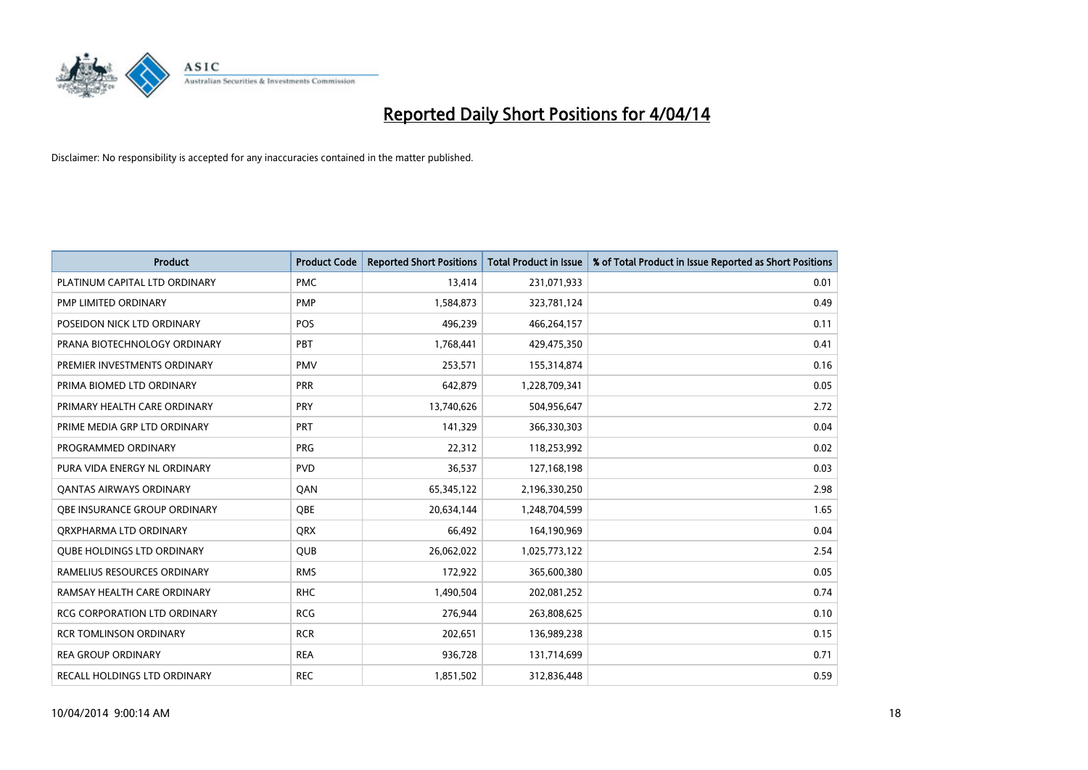

| <b>Product</b>                      | <b>Product Code</b> | <b>Reported Short Positions</b> | <b>Total Product in Issue</b> | % of Total Product in Issue Reported as Short Positions |
|-------------------------------------|---------------------|---------------------------------|-------------------------------|---------------------------------------------------------|
| PLATINUM CAPITAL LTD ORDINARY       | <b>PMC</b>          | 13,414                          | 231,071,933                   | 0.01                                                    |
| PMP LIMITED ORDINARY                | <b>PMP</b>          | 1,584,873                       | 323,781,124                   | 0.49                                                    |
| POSEIDON NICK LTD ORDINARY          | <b>POS</b>          | 496,239                         | 466,264,157                   | 0.11                                                    |
| PRANA BIOTECHNOLOGY ORDINARY        | <b>PBT</b>          | 1,768,441                       | 429,475,350                   | 0.41                                                    |
| PREMIER INVESTMENTS ORDINARY        | <b>PMV</b>          | 253,571                         | 155,314,874                   | 0.16                                                    |
| PRIMA BIOMED LTD ORDINARY           | PRR                 | 642,879                         | 1,228,709,341                 | 0.05                                                    |
| PRIMARY HEALTH CARE ORDINARY        | <b>PRY</b>          | 13,740,626                      | 504,956,647                   | 2.72                                                    |
| PRIME MEDIA GRP LTD ORDINARY        | <b>PRT</b>          | 141,329                         | 366,330,303                   | 0.04                                                    |
| PROGRAMMED ORDINARY                 | <b>PRG</b>          | 22,312                          | 118,253,992                   | 0.02                                                    |
| PURA VIDA ENERGY NL ORDINARY        | <b>PVD</b>          | 36,537                          | 127,168,198                   | 0.03                                                    |
| <b>QANTAS AIRWAYS ORDINARY</b>      | QAN                 | 65,345,122                      | 2,196,330,250                 | 2.98                                                    |
| <b>OBE INSURANCE GROUP ORDINARY</b> | <b>OBE</b>          | 20,634,144                      | 1,248,704,599                 | 1.65                                                    |
| ORXPHARMA LTD ORDINARY              | <b>QRX</b>          | 66,492                          | 164,190,969                   | 0.04                                                    |
| <b>QUBE HOLDINGS LTD ORDINARY</b>   | <b>QUB</b>          | 26,062,022                      | 1,025,773,122                 | 2.54                                                    |
| RAMELIUS RESOURCES ORDINARY         | <b>RMS</b>          | 172,922                         | 365,600,380                   | 0.05                                                    |
| RAMSAY HEALTH CARE ORDINARY         | <b>RHC</b>          | 1,490,504                       | 202,081,252                   | 0.74                                                    |
| RCG CORPORATION LTD ORDINARY        | <b>RCG</b>          | 276,944                         | 263,808,625                   | 0.10                                                    |
| <b>RCR TOMLINSON ORDINARY</b>       | <b>RCR</b>          | 202,651                         | 136,989,238                   | 0.15                                                    |
| <b>REA GROUP ORDINARY</b>           | <b>REA</b>          | 936,728                         | 131,714,699                   | 0.71                                                    |
| RECALL HOLDINGS LTD ORDINARY        | <b>REC</b>          | 1,851,502                       | 312,836,448                   | 0.59                                                    |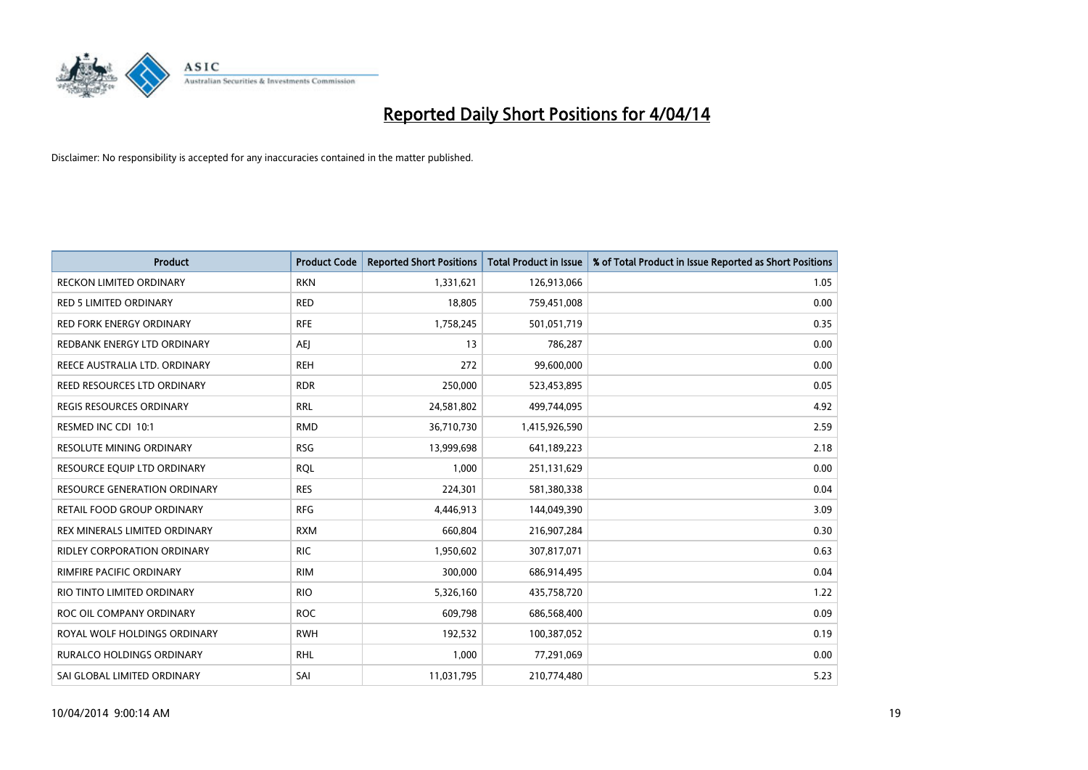

| <b>Product</b>                      | <b>Product Code</b> | <b>Reported Short Positions</b> | <b>Total Product in Issue</b> | % of Total Product in Issue Reported as Short Positions |
|-------------------------------------|---------------------|---------------------------------|-------------------------------|---------------------------------------------------------|
| <b>RECKON LIMITED ORDINARY</b>      | <b>RKN</b>          | 1,331,621                       | 126,913,066                   | 1.05                                                    |
| <b>RED 5 LIMITED ORDINARY</b>       | <b>RED</b>          | 18,805                          | 759,451,008                   | 0.00                                                    |
| <b>RED FORK ENERGY ORDINARY</b>     | <b>RFE</b>          | 1,758,245                       | 501,051,719                   | 0.35                                                    |
| REDBANK ENERGY LTD ORDINARY         | <b>AEI</b>          | 13                              | 786,287                       | 0.00                                                    |
| REECE AUSTRALIA LTD. ORDINARY       | <b>REH</b>          | 272                             | 99,600,000                    | 0.00                                                    |
| REED RESOURCES LTD ORDINARY         | <b>RDR</b>          | 250,000                         | 523,453,895                   | 0.05                                                    |
| <b>REGIS RESOURCES ORDINARY</b>     | <b>RRL</b>          | 24,581,802                      | 499,744,095                   | 4.92                                                    |
| RESMED INC CDI 10:1                 | <b>RMD</b>          | 36,710,730                      | 1,415,926,590                 | 2.59                                                    |
| RESOLUTE MINING ORDINARY            | <b>RSG</b>          | 13,999,698                      | 641,189,223                   | 2.18                                                    |
| RESOURCE EQUIP LTD ORDINARY         | <b>RQL</b>          | 1,000                           | 251,131,629                   | 0.00                                                    |
| <b>RESOURCE GENERATION ORDINARY</b> | <b>RES</b>          | 224,301                         | 581,380,338                   | 0.04                                                    |
| RETAIL FOOD GROUP ORDINARY          | <b>RFG</b>          | 4,446,913                       | 144,049,390                   | 3.09                                                    |
| REX MINERALS LIMITED ORDINARY       | <b>RXM</b>          | 660,804                         | 216,907,284                   | 0.30                                                    |
| RIDLEY CORPORATION ORDINARY         | <b>RIC</b>          | 1,950,602                       | 307,817,071                   | 0.63                                                    |
| RIMFIRE PACIFIC ORDINARY            | <b>RIM</b>          | 300,000                         | 686,914,495                   | 0.04                                                    |
| RIO TINTO LIMITED ORDINARY          | <b>RIO</b>          | 5,326,160                       | 435,758,720                   | 1.22                                                    |
| ROC OIL COMPANY ORDINARY            | <b>ROC</b>          | 609,798                         | 686,568,400                   | 0.09                                                    |
| ROYAL WOLF HOLDINGS ORDINARY        | <b>RWH</b>          | 192,532                         | 100,387,052                   | 0.19                                                    |
| <b>RURALCO HOLDINGS ORDINARY</b>    | <b>RHL</b>          | 1,000                           | 77,291,069                    | 0.00                                                    |
| SAI GLOBAL LIMITED ORDINARY         | SAI                 | 11,031,795                      | 210,774,480                   | 5.23                                                    |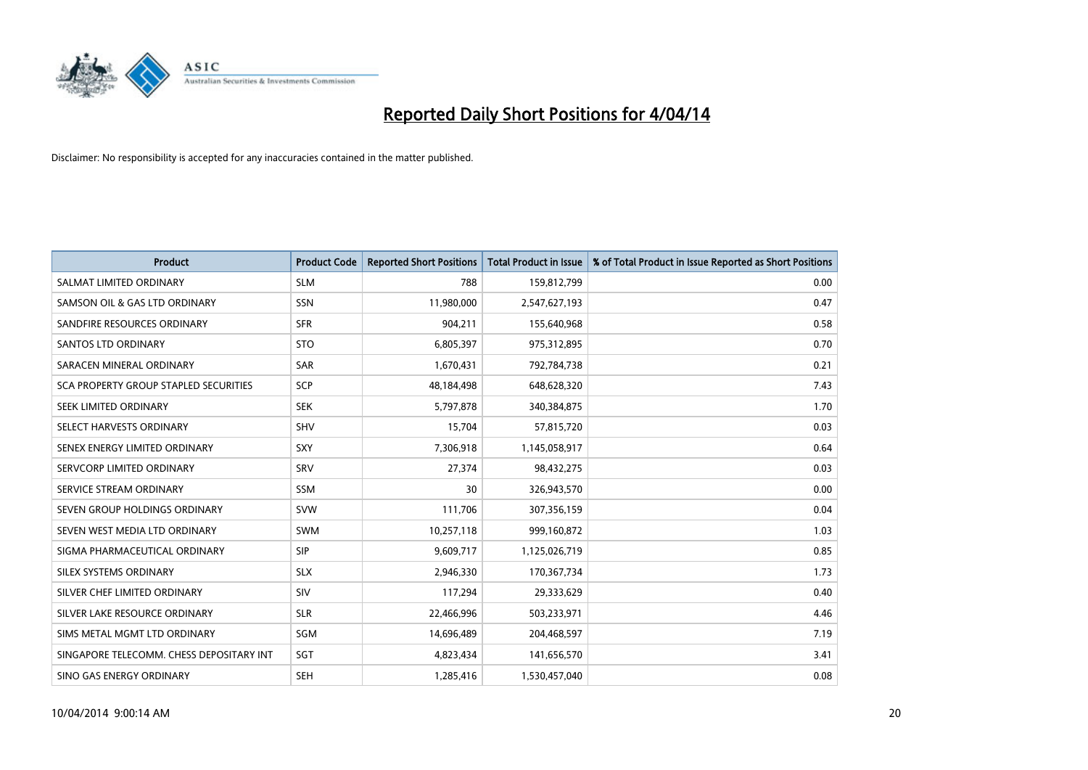

| <b>Product</b>                           | <b>Product Code</b> | <b>Reported Short Positions</b> | <b>Total Product in Issue</b> | % of Total Product in Issue Reported as Short Positions |
|------------------------------------------|---------------------|---------------------------------|-------------------------------|---------------------------------------------------------|
| SALMAT LIMITED ORDINARY                  | <b>SLM</b>          | 788                             | 159,812,799                   | 0.00                                                    |
| SAMSON OIL & GAS LTD ORDINARY            | SSN                 | 11,980,000                      | 2,547,627,193                 | 0.47                                                    |
| SANDFIRE RESOURCES ORDINARY              | <b>SFR</b>          | 904,211                         | 155,640,968                   | 0.58                                                    |
| SANTOS LTD ORDINARY                      | <b>STO</b>          | 6,805,397                       | 975,312,895                   | 0.70                                                    |
| SARACEN MINERAL ORDINARY                 | <b>SAR</b>          | 1,670,431                       | 792,784,738                   | 0.21                                                    |
| SCA PROPERTY GROUP STAPLED SECURITIES    | <b>SCP</b>          | 48,184,498                      | 648,628,320                   | 7.43                                                    |
| SEEK LIMITED ORDINARY                    | <b>SEK</b>          | 5,797,878                       | 340,384,875                   | 1.70                                                    |
| SELECT HARVESTS ORDINARY                 | <b>SHV</b>          | 15,704                          | 57,815,720                    | 0.03                                                    |
| SENEX ENERGY LIMITED ORDINARY            | <b>SXY</b>          | 7,306,918                       | 1,145,058,917                 | 0.64                                                    |
| SERVCORP LIMITED ORDINARY                | SRV                 | 27,374                          | 98,432,275                    | 0.03                                                    |
| SERVICE STREAM ORDINARY                  | <b>SSM</b>          | 30                              | 326,943,570                   | 0.00                                                    |
| SEVEN GROUP HOLDINGS ORDINARY            | <b>SVW</b>          | 111,706                         | 307,356,159                   | 0.04                                                    |
| SEVEN WEST MEDIA LTD ORDINARY            | <b>SWM</b>          | 10,257,118                      | 999,160,872                   | 1.03                                                    |
| SIGMA PHARMACEUTICAL ORDINARY            | <b>SIP</b>          | 9,609,717                       | 1,125,026,719                 | 0.85                                                    |
| SILEX SYSTEMS ORDINARY                   | <b>SLX</b>          | 2,946,330                       | 170,367,734                   | 1.73                                                    |
| SILVER CHEF LIMITED ORDINARY             | SIV                 | 117,294                         | 29,333,629                    | 0.40                                                    |
| SILVER LAKE RESOURCE ORDINARY            | <b>SLR</b>          | 22,466,996                      | 503,233,971                   | 4.46                                                    |
| SIMS METAL MGMT LTD ORDINARY             | <b>SGM</b>          | 14,696,489                      | 204,468,597                   | 7.19                                                    |
| SINGAPORE TELECOMM. CHESS DEPOSITARY INT | SGT                 | 4,823,434                       | 141,656,570                   | 3.41                                                    |
| SINO GAS ENERGY ORDINARY                 | <b>SEH</b>          | 1,285,416                       | 1,530,457,040                 | 0.08                                                    |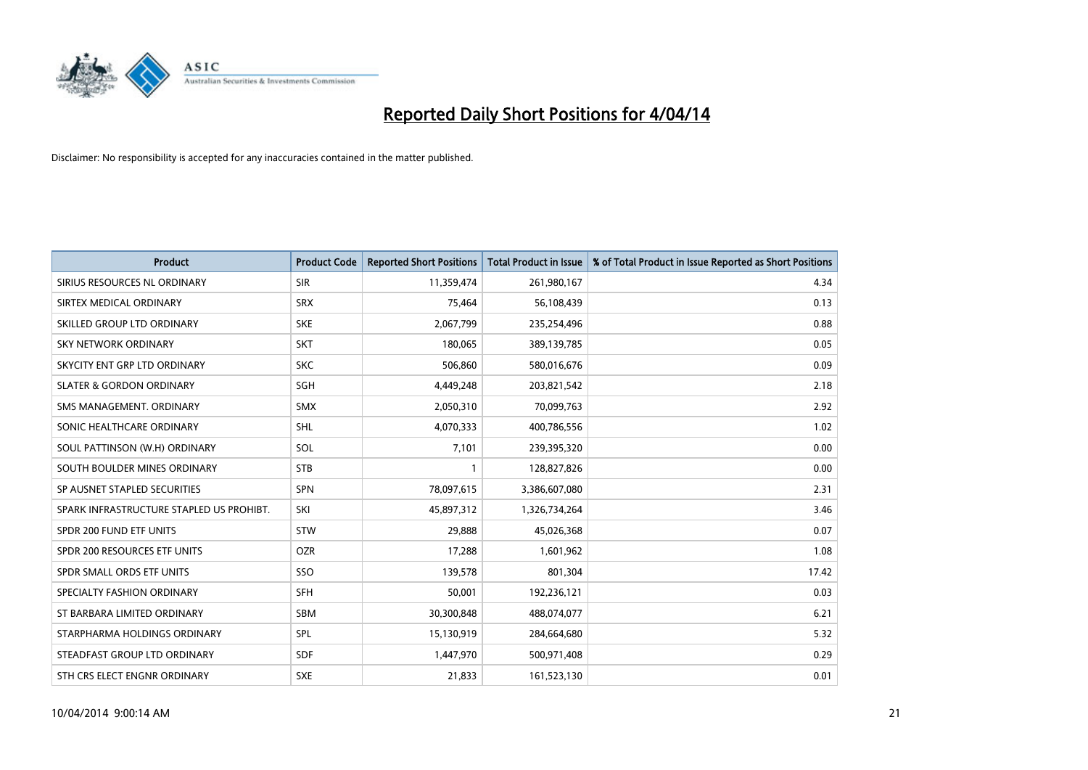

| <b>Product</b>                           | <b>Product Code</b> | <b>Reported Short Positions</b> | <b>Total Product in Issue</b> | % of Total Product in Issue Reported as Short Positions |
|------------------------------------------|---------------------|---------------------------------|-------------------------------|---------------------------------------------------------|
| SIRIUS RESOURCES NL ORDINARY             | <b>SIR</b>          | 11,359,474                      | 261,980,167                   | 4.34                                                    |
| SIRTEX MEDICAL ORDINARY                  | <b>SRX</b>          | 75,464                          | 56,108,439                    | 0.13                                                    |
| SKILLED GROUP LTD ORDINARY               | <b>SKE</b>          | 2,067,799                       | 235,254,496                   | 0.88                                                    |
| <b>SKY NETWORK ORDINARY</b>              | <b>SKT</b>          | 180,065                         | 389,139,785                   | 0.05                                                    |
| SKYCITY ENT GRP LTD ORDINARY             | <b>SKC</b>          | 506,860                         | 580,016,676                   | 0.09                                                    |
| <b>SLATER &amp; GORDON ORDINARY</b>      | SGH                 | 4,449,248                       | 203,821,542                   | 2.18                                                    |
| SMS MANAGEMENT, ORDINARY                 | <b>SMX</b>          | 2,050,310                       | 70,099,763                    | 2.92                                                    |
| SONIC HEALTHCARE ORDINARY                | <b>SHL</b>          | 4,070,333                       | 400,786,556                   | 1.02                                                    |
| SOUL PATTINSON (W.H) ORDINARY            | SOL                 | 7,101                           | 239,395,320                   | 0.00                                                    |
| SOUTH BOULDER MINES ORDINARY             | <b>STB</b>          | 1                               | 128,827,826                   | 0.00                                                    |
| SP AUSNET STAPLED SECURITIES             | <b>SPN</b>          | 78,097,615                      | 3,386,607,080                 | 2.31                                                    |
| SPARK INFRASTRUCTURE STAPLED US PROHIBT. | SKI                 | 45,897,312                      | 1,326,734,264                 | 3.46                                                    |
| SPDR 200 FUND ETF UNITS                  | STW                 | 29,888                          | 45,026,368                    | 0.07                                                    |
| SPDR 200 RESOURCES ETF UNITS             | <b>OZR</b>          | 17,288                          | 1,601,962                     | 1.08                                                    |
| SPDR SMALL ORDS ETF UNITS                | SSO                 | 139,578                         | 801,304                       | 17.42                                                   |
| SPECIALTY FASHION ORDINARY               | SFH                 | 50,001                          | 192,236,121                   | 0.03                                                    |
| ST BARBARA LIMITED ORDINARY              | SBM                 | 30,300,848                      | 488,074,077                   | 6.21                                                    |
| STARPHARMA HOLDINGS ORDINARY             | <b>SPL</b>          | 15,130,919                      | 284,664,680                   | 5.32                                                    |
| STEADFAST GROUP LTD ORDINARY             | <b>SDF</b>          | 1,447,970                       | 500,971,408                   | 0.29                                                    |
| STH CRS ELECT ENGNR ORDINARY             | <b>SXE</b>          | 21,833                          | 161,523,130                   | 0.01                                                    |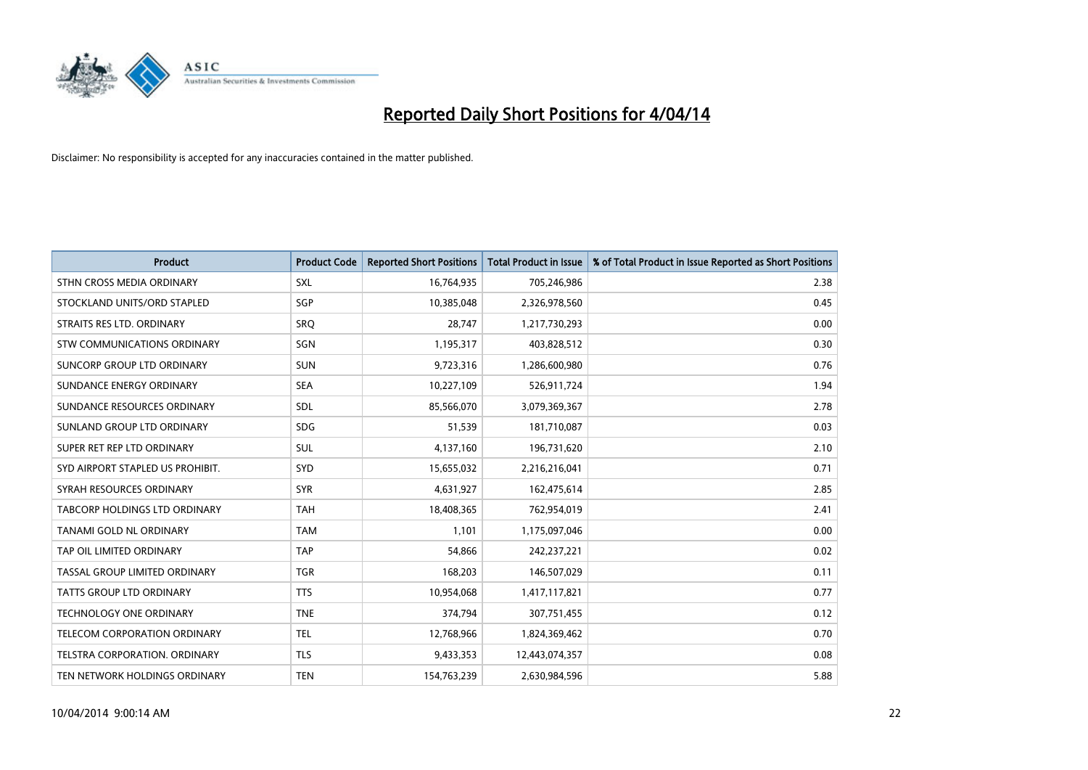

| <b>Product</b>                       | <b>Product Code</b> | <b>Reported Short Positions</b> | <b>Total Product in Issue</b> | % of Total Product in Issue Reported as Short Positions |
|--------------------------------------|---------------------|---------------------------------|-------------------------------|---------------------------------------------------------|
| STHN CROSS MEDIA ORDINARY            | <b>SXL</b>          | 16,764,935                      | 705,246,986                   | 2.38                                                    |
| STOCKLAND UNITS/ORD STAPLED          | SGP                 | 10,385,048                      | 2,326,978,560                 | 0.45                                                    |
| STRAITS RES LTD. ORDINARY            | SRQ                 | 28,747                          | 1,217,730,293                 | 0.00                                                    |
| STW COMMUNICATIONS ORDINARY          | SGN                 | 1,195,317                       | 403,828,512                   | 0.30                                                    |
| <b>SUNCORP GROUP LTD ORDINARY</b>    | <b>SUN</b>          | 9,723,316                       | 1,286,600,980                 | 0.76                                                    |
| SUNDANCE ENERGY ORDINARY             | <b>SEA</b>          | 10,227,109                      | 526,911,724                   | 1.94                                                    |
| SUNDANCE RESOURCES ORDINARY          | SDL                 | 85,566,070                      | 3,079,369,367                 | 2.78                                                    |
| SUNLAND GROUP LTD ORDINARY           | <b>SDG</b>          | 51,539                          | 181,710,087                   | 0.03                                                    |
| SUPER RET REP LTD ORDINARY           | <b>SUL</b>          | 4,137,160                       | 196,731,620                   | 2.10                                                    |
| SYD AIRPORT STAPLED US PROHIBIT.     | SYD                 | 15,655,032                      | 2,216,216,041                 | 0.71                                                    |
| SYRAH RESOURCES ORDINARY             | <b>SYR</b>          | 4,631,927                       | 162,475,614                   | 2.85                                                    |
| <b>TABCORP HOLDINGS LTD ORDINARY</b> | <b>TAH</b>          | 18,408,365                      | 762,954,019                   | 2.41                                                    |
| TANAMI GOLD NL ORDINARY              | <b>TAM</b>          | 1.101                           | 1,175,097,046                 | 0.00                                                    |
| TAP OIL LIMITED ORDINARY             | <b>TAP</b>          | 54.866                          | 242,237,221                   | 0.02                                                    |
| TASSAL GROUP LIMITED ORDINARY        | <b>TGR</b>          | 168,203                         | 146,507,029                   | 0.11                                                    |
| <b>TATTS GROUP LTD ORDINARY</b>      | <b>TTS</b>          | 10,954,068                      | 1,417,117,821                 | 0.77                                                    |
| <b>TECHNOLOGY ONE ORDINARY</b>       | <b>TNE</b>          | 374,794                         | 307,751,455                   | 0.12                                                    |
| TELECOM CORPORATION ORDINARY         | <b>TEL</b>          | 12,768,966                      | 1,824,369,462                 | 0.70                                                    |
| TELSTRA CORPORATION, ORDINARY        | <b>TLS</b>          | 9,433,353                       | 12,443,074,357                | 0.08                                                    |
| TEN NETWORK HOLDINGS ORDINARY        | <b>TEN</b>          | 154,763,239                     | 2,630,984,596                 | 5.88                                                    |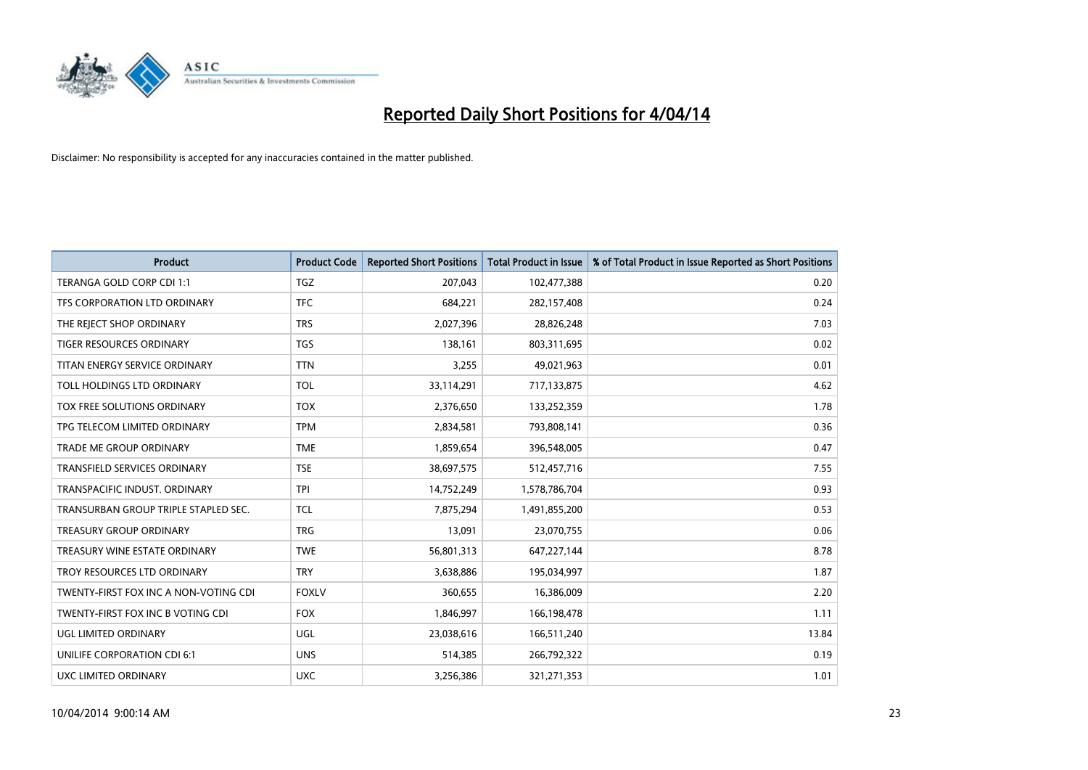

| <b>Product</b>                        | <b>Product Code</b> | <b>Reported Short Positions</b> | <b>Total Product in Issue</b> | % of Total Product in Issue Reported as Short Positions |
|---------------------------------------|---------------------|---------------------------------|-------------------------------|---------------------------------------------------------|
| TERANGA GOLD CORP CDI 1:1             | <b>TGZ</b>          | 207,043                         | 102,477,388                   | 0.20                                                    |
| TFS CORPORATION LTD ORDINARY          | <b>TFC</b>          | 684,221                         | 282,157,408                   | 0.24                                                    |
| THE REJECT SHOP ORDINARY              | <b>TRS</b>          | 2,027,396                       | 28,826,248                    | 7.03                                                    |
| TIGER RESOURCES ORDINARY              | <b>TGS</b>          | 138,161                         | 803,311,695                   | 0.02                                                    |
| TITAN ENERGY SERVICE ORDINARY         | <b>TTN</b>          | 3,255                           | 49,021,963                    | 0.01                                                    |
| TOLL HOLDINGS LTD ORDINARY            | <b>TOL</b>          | 33,114,291                      | 717,133,875                   | 4.62                                                    |
| TOX FREE SOLUTIONS ORDINARY           | <b>TOX</b>          | 2,376,650                       | 133,252,359                   | 1.78                                                    |
| TPG TELECOM LIMITED ORDINARY          | <b>TPM</b>          | 2,834,581                       | 793,808,141                   | 0.36                                                    |
| <b>TRADE ME GROUP ORDINARY</b>        | <b>TME</b>          | 1,859,654                       | 396,548,005                   | 0.47                                                    |
| <b>TRANSFIELD SERVICES ORDINARY</b>   | <b>TSE</b>          | 38,697,575                      | 512,457,716                   | 7.55                                                    |
| TRANSPACIFIC INDUST. ORDINARY         | <b>TPI</b>          | 14,752,249                      | 1,578,786,704                 | 0.93                                                    |
| TRANSURBAN GROUP TRIPLE STAPLED SEC.  | TCL                 | 7,875,294                       | 1,491,855,200                 | 0.53                                                    |
| TREASURY GROUP ORDINARY               | <b>TRG</b>          | 13,091                          | 23,070,755                    | 0.06                                                    |
| TREASURY WINE ESTATE ORDINARY         | <b>TWE</b>          | 56,801,313                      | 647,227,144                   | 8.78                                                    |
| TROY RESOURCES LTD ORDINARY           | <b>TRY</b>          | 3,638,886                       | 195,034,997                   | 1.87                                                    |
| TWENTY-FIRST FOX INC A NON-VOTING CDI | <b>FOXLV</b>        | 360,655                         | 16,386,009                    | 2.20                                                    |
| TWENTY-FIRST FOX INC B VOTING CDI     | <b>FOX</b>          | 1,846,997                       | 166,198,478                   | 1.11                                                    |
| UGL LIMITED ORDINARY                  | <b>UGL</b>          | 23,038,616                      | 166,511,240                   | 13.84                                                   |
| UNILIFE CORPORATION CDI 6:1           | <b>UNS</b>          | 514,385                         | 266,792,322                   | 0.19                                                    |
| <b>UXC LIMITED ORDINARY</b>           | <b>UXC</b>          | 3,256,386                       | 321,271,353                   | 1.01                                                    |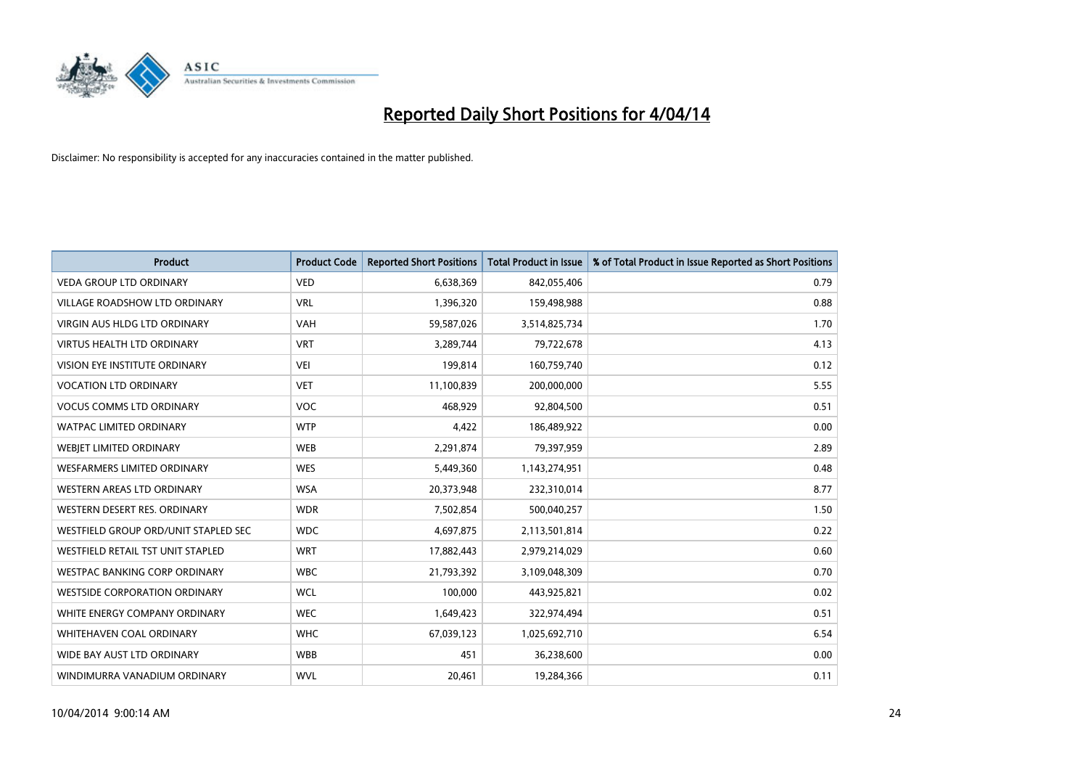

| <b>Product</b>                       | <b>Product Code</b> | <b>Reported Short Positions</b> | <b>Total Product in Issue</b> | % of Total Product in Issue Reported as Short Positions |
|--------------------------------------|---------------------|---------------------------------|-------------------------------|---------------------------------------------------------|
| <b>VEDA GROUP LTD ORDINARY</b>       | <b>VED</b>          | 6,638,369                       | 842,055,406                   | 0.79                                                    |
| VILLAGE ROADSHOW LTD ORDINARY        | <b>VRL</b>          | 1,396,320                       | 159,498,988                   | 0.88                                                    |
| <b>VIRGIN AUS HLDG LTD ORDINARY</b>  | <b>VAH</b>          | 59,587,026                      | 3,514,825,734                 | 1.70                                                    |
| <b>VIRTUS HEALTH LTD ORDINARY</b>    | <b>VRT</b>          | 3,289,744                       | 79,722,678                    | 4.13                                                    |
| <b>VISION EYE INSTITUTE ORDINARY</b> | <b>VEI</b>          | 199,814                         | 160,759,740                   | 0.12                                                    |
| <b>VOCATION LTD ORDINARY</b>         | <b>VET</b>          | 11,100,839                      | 200,000,000                   | 5.55                                                    |
| <b>VOCUS COMMS LTD ORDINARY</b>      | <b>VOC</b>          | 468,929                         | 92,804,500                    | 0.51                                                    |
| WATPAC LIMITED ORDINARY              | <b>WTP</b>          | 4,422                           | 186,489,922                   | 0.00                                                    |
| WEBJET LIMITED ORDINARY              | <b>WEB</b>          | 2,291,874                       | 79,397,959                    | 2.89                                                    |
| WESFARMERS LIMITED ORDINARY          | <b>WES</b>          | 5,449,360                       | 1,143,274,951                 | 0.48                                                    |
| WESTERN AREAS LTD ORDINARY           | <b>WSA</b>          | 20,373,948                      | 232,310,014                   | 8.77                                                    |
| WESTERN DESERT RES. ORDINARY         | <b>WDR</b>          | 7,502,854                       | 500,040,257                   | 1.50                                                    |
| WESTFIELD GROUP ORD/UNIT STAPLED SEC | <b>WDC</b>          | 4,697,875                       | 2,113,501,814                 | 0.22                                                    |
| WESTFIELD RETAIL TST UNIT STAPLED    | <b>WRT</b>          | 17,882,443                      | 2,979,214,029                 | 0.60                                                    |
| <b>WESTPAC BANKING CORP ORDINARY</b> | <b>WBC</b>          | 21,793,392                      | 3,109,048,309                 | 0.70                                                    |
| <b>WESTSIDE CORPORATION ORDINARY</b> | <b>WCL</b>          | 100,000                         | 443,925,821                   | 0.02                                                    |
| WHITE ENERGY COMPANY ORDINARY        | <b>WEC</b>          | 1,649,423                       | 322,974,494                   | 0.51                                                    |
| WHITEHAVEN COAL ORDINARY             | <b>WHC</b>          | 67,039,123                      | 1,025,692,710                 | 6.54                                                    |
| WIDE BAY AUST LTD ORDINARY           | <b>WBB</b>          | 451                             | 36,238,600                    | 0.00                                                    |
| WINDIMURRA VANADIUM ORDINARY         | <b>WVL</b>          | 20,461                          | 19,284,366                    | 0.11                                                    |